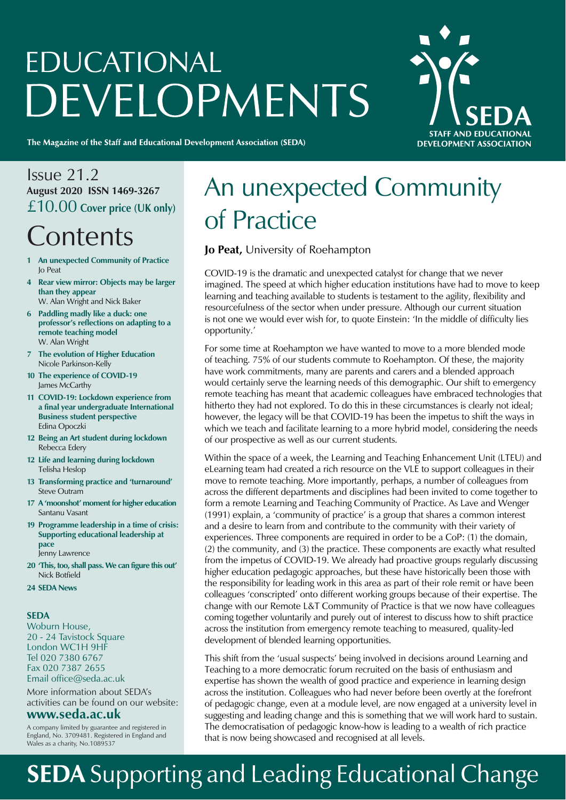# **EDUCATIONAL** DEVELOPMENTS



The Magazine of the Staff and Educational Development Association (SEDA)

#### Issue 21.2 **August 2020 ISSN 1469-3267** £10.00 **Cover price (UK only)**

### **Contents**

- **1 An unexpected Community of Practice** Jo Peat
- **4 Rear view mirror: Objects may be larger than they appear** W. Alan Wright and Nick Baker
- 
- **6 Paddling madly like a duck: one professor's reflections on adapting to a remote teaching model** W. Alan Wright
- **7 The evolution of Higher Education** Nicole Parkinson-Kelly
- **10 The experience of COVID-19** James McCarthy
- **11 COVID-19: Lockdown experience from a final year undergraduate International Business student perspective** Edina Opoczki
- **12 Being an Art student during lockdown** Rebecca Edery
- **12 Life and learning during lockdown** Telisha Heslop
- **13 Transforming practice and 'turnaround'** Steve Outram
- **17 A 'moonshot' moment for higher education** Santanu Vasant
- **19 Programme leadership in a time of crisis: Supporting educational leadership at pace** Jenny Lawrence
- **20 'This, too, shall pass. We can figure this out'** Nick Botfield
- **24 SEDA News**

#### **SEDA**

Woburn House, 20 - 24 Tavistock Square London WC1H 9HF Tel 020 7380 6767 Fax 020 7387 2655 Email office@seda.ac.uk

More information about SEDA's activities can be found on our website:

#### **www.seda.ac.uk**

A company limited by guarantee and registered in England, No. 3709481. Registered in England and Wales as a charity, No.1089537

### An unexpected Community of Practice

#### **Jo Peat,** University of Roehampton

COVID-19 is the dramatic and unexpected catalyst for change that we never imagined. The speed at which higher education institutions have had to move to keep learning and teaching available to students is testament to the agility, flexibility and resourcefulness of the sector when under pressure. Although our current situation is not one we would ever wish for, to quote Einstein: 'In the middle of difficulty lies opportunity.'

For some time at Roehampton we have wanted to move to a more blended mode of teaching. 75% of our students commute to Roehampton. Of these, the majority have work commitments, many are parents and carers and a blended approach would certainly serve the learning needs of this demographic. Our shift to emergency remote teaching has meant that academic colleagues have embraced technologies that hitherto they had not explored. To do this in these circumstances is clearly not ideal; however, the legacy will be that COVID-19 has been the impetus to shift the ways in which we teach and facilitate learning to a more hybrid model, considering the needs of our prospective as well as our current students.

Within the space of a week, the Learning and Teaching Enhancement Unit (LTEU) and eLearning team had created a rich resource on the VLE to support colleagues in their move to remote teaching. More importantly, perhaps, a number of colleagues from across the different departments and disciplines had been invited to come together to form a remote Learning and Teaching Community of Practice. As Lave and Wenger (1991) explain, a 'community of practice' is a group that shares a common interest and a desire to learn from and contribute to the community with their variety of experiences. Three components are required in order to be a CoP: (1) the domain, (2) the community, and (3) the practice. These components are exactly what resulted from the impetus of COVID-19. We already had proactive groups regularly discussing higher education pedagogic approaches, but these have historically been those with the responsibility for leading work in this area as part of their role remit or have been colleagues 'conscripted' onto different working groups because of their expertise. The change with our Remote L&T Community of Practice is that we now have colleagues coming together voluntarily and purely out of interest to discuss how to shift practice across the institution from emergency remote teaching to measured, quality-led development of blended learning opportunities.

This shift from the 'usual suspects' being involved in decisions around Learning and Teaching to a more democratic forum recruited on the basis of enthusiasm and expertise has shown the wealth of good practice and experience in learning design across the institution. Colleagues who had never before been overtly at the forefront of pedagogic change, even at a module level, are now engaged at a university level in suggesting and leading change and this is something that we will work hard to sustain. The democratisation of pedagogic know-how is leading to a wealth of rich practice that is now being showcased and recognised at all levels.

### **SEDA** Supporting and Leading Educational Change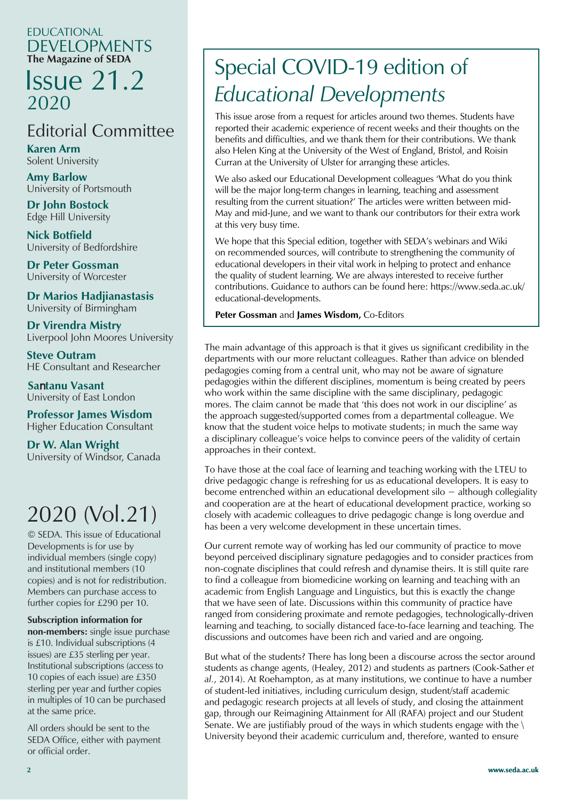#### EDUCATIONAL DEVELOPMENTS **The Magazine of SEDA**

### Issue 21.2 2020

#### Editorial Committee

**Karen Arm** Solent University

**Amy Barlow** University of Portsmouth

**Dr John Bostock** Edge Hill University

**Nick Botfield** University of Bedfordshire

**Dr Peter Gossman** University of Worcester

University of Birmingham **Dr Marios Hadjianastasis**

**Dr Virendra Mistry** Liverpool John Moores University

**Steve Outram** HE Consultant and Researcher

 **Sa**n**tanu Vasant** University of East London

Higher Education Consultant **Professor James Wisdom**

**Dr W. Alan Wright** University of Windsor, Canada

### 2020 (Vol.21)

© SEDA. This issue of Educational Developments is for use by individual members (single copy) and institutional members (10 copies) and is not for redistribution. Members can purchase access to further copies for £290 per 10.

#### **Subscription information for**

**non-members:** single issue purchase is £10. Individual subscriptions (4 issues) are £35 sterling per year. Institutional subscriptions (access to 10 copies of each issue) are £350 sterling per year and further copies in multiples of 10 can be purchased at the same price.

All orders should be sent to the SEDA Office, either with payment or official order.

### Special COVID-19 edition of *Educational Developments*

This issue arose from a request for articles around two themes. Students have reported their academic experience of recent weeks and their thoughts on the benefits and difficulties, and we thank them for their contributions. We thank also Helen King at the University of the West of England, Bristol, and Roisin Curran at the University of Ulster for arranging these articles.

We also asked our Educational Development colleagues 'What do you think will be the major long-term changes in learning, teaching and assessment resulting from the current situation?' The articles were written between mid-May and mid-June, and we want to thank our contributors for their extra work at this very busy time.

We hope that this Special edition, together with SEDA's webinars and Wiki on recommended sources, will contribute to strengthening the community of educational developers in their vital work in helping to protect and enhance the quality of student learning. We are always interested to receive further contributions. Guidance to authors can be found here: https://www.seda.ac.uk/ educational-developments.

**Peter Gossman** and **James Wisdom,** Co-Editors

The main advantage of this approach is that it gives us significant credibility in the departments with our more reluctant colleagues. Rather than advice on blended pedagogies coming from a central unit, who may not be aware of signature pedagogies within the different disciplines, momentum is being created by peers who work within the same discipline with the same disciplinary, pedagogic mores. The claim cannot be made that 'this does not work in our discipline' as the approach suggested/supported comes from a departmental colleague. We know that the student voice helps to motivate students; in much the same way a disciplinary colleague's voice helps to convince peers of the validity of certain approaches in their context.

To have those at the coal face of learning and teaching working with the LTEU to drive pedagogic change is refreshing for us as educational developers. It is easy to become entrenched within an educational development silo  $-$  although collegiality and cooperation are at the heart of educational development practice, working so closely with academic colleagues to drive pedagogic change is long overdue and has been a very welcome development in these uncertain times.

Our current remote way of working has led our community of practice to move beyond perceived disciplinary signature pedagogies and to consider practices from non-cognate disciplines that could refresh and dynamise theirs. It is still quite rare to find a colleague from biomedicine working on learning and teaching with an academic from English Language and Linguistics, but this is exactly the change that we have seen of late. Discussions within this community of practice have ranged from considering proximate and remote pedagogies, technologically-driven learning and teaching, to socially distanced face-to-face learning and teaching. The discussions and outcomes have been rich and varied and are ongoing.

But what of the students? There has long been a discourse across the sector around students as change agents, (Healey, 2012) and students as partners (Cook-Sather *et al.*, 2014). At Roehampton, as at many institutions, we continue to have a number of student-led initiatives, including curriculum design, student/staff academic and pedagogic research projects at all levels of study, and closing the attainment gap, through our Reimagining Attainment for All (RAFA) project and our Student Senate. We are justifiably proud of the ways in which students engage with the  $\setminus$ University beyond their academic curriculum and, therefore, wanted to ensure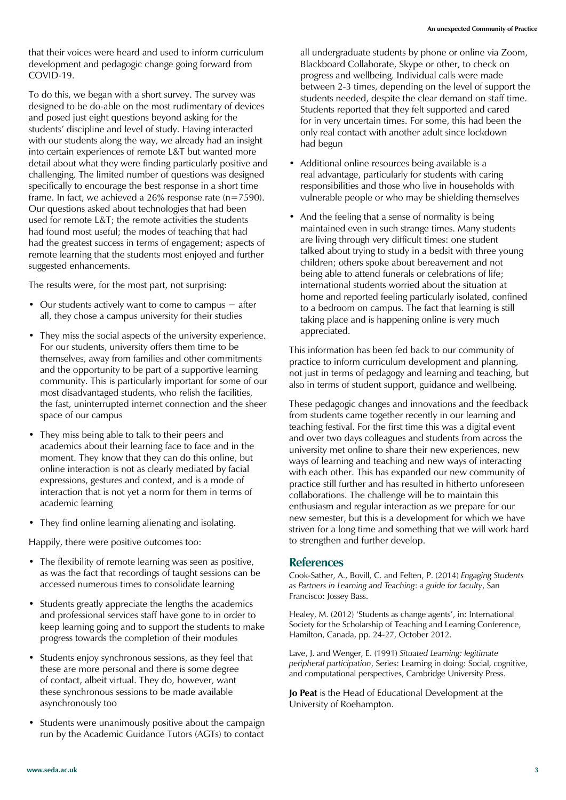that their voices were heard and used to inform curriculum development and pedagogic change going forward from COVID-19.

To do this, we began with a short survey. The survey was designed to be do-able on the most rudimentary of devices and posed just eight questions beyond asking for the students' discipline and level of study. Having interacted with our students along the way, we already had an insight into certain experiences of remote L&T but wanted more detail about what they were finding particularly positive and challenging. The limited number of questions was designed specifically to encourage the best response in a short time frame. In fact, we achieved a 26% response rate ( $n=7590$ ). Our questions asked about technologies that had been used for remote L&T; the remote activities the students had found most useful; the modes of teaching that had had the greatest success in terms of engagement; aspects of remote learning that the students most enjoyed and further suggested enhancements.

The results were, for the most part, not surprising:

- Our students actively want to come to campus  $-$  after all, they chose a campus university for their studies
- They miss the social aspects of the university experience. For our students, university offers them time to be themselves, away from families and other commitments and the opportunity to be part of a supportive learning community. This is particularly important for some of our most disadvantaged students, who relish the facilities, the fast, uninterrupted internet connection and the sheer space of our campus
- They miss being able to talk to their peers and academics about their learning face to face and in the moment. They know that they can do this online, but online interaction is not as clearly mediated by facial expressions, gestures and context, and is a mode of interaction that is not yet a norm for them in terms of academic learning
- They find online learning alienating and isolating.

Happily, there were positive outcomes too:

- The flexibility of remote learning was seen as positive, as was the fact that recordings of taught sessions can be accessed numerous times to consolidate learning
- Students greatly appreciate the lengths the academics and professional services staff have gone to in order to keep learning going and to support the students to make progress towards the completion of their modules
- Students enjoy synchronous sessions, as they feel that these are more personal and there is some degree of contact, albeit virtual. They do, however, want these synchronous sessions to be made available asynchronously too
- Students were unanimously positive about the campaign run by the Academic Guidance Tutors (AGTs) to contact

all undergraduate students by phone or online via Zoom, Blackboard Collaborate, Skype or other, to check on progress and wellbeing. Individual calls were made between 2-3 times, depending on the level of support the students needed, despite the clear demand on staff time. Students reported that they felt supported and cared for in very uncertain times. For some, this had been the only real contact with another adult since lockdown had begun

- Additional online resources being available is a real advantage, particularly for students with caring responsibilities and those who live in households with vulnerable people or who may be shielding themselves
- And the feeling that a sense of normality is being maintained even in such strange times. Many students are living through very difficult times: one student talked about trying to study in a bedsit with three young children; others spoke about bereavement and not being able to attend funerals or celebrations of life; international students worried about the situation at home and reported feeling particularly isolated, confined to a bedroom on campus. The fact that learning is still taking place and is happening online is very much appreciated.

This information has been fed back to our community of practice to inform curriculum development and planning, not just in terms of pedagogy and learning and teaching, but also in terms of student support, guidance and wellbeing.

These pedagogic changes and innovations and the feedback from students came together recently in our learning and teaching festival. For the first time this was a digital event and over two days colleagues and students from across the university met online to share their new experiences, new ways of learning and teaching and new ways of interacting with each other. This has expanded our new community of practice still further and has resulted in hitherto unforeseen collaborations. The challenge will be to maintain this enthusiasm and regular interaction as we prepare for our new semester, but this is a development for which we have striven for a long time and something that we will work hard to strengthen and further develop.

#### **References**

Cook-Sather, A., Bovill, C. and Felten, P. (2014) *Engaging Students as Partners in Learning and Teaching*: *a guide for faculty*, San Francisco: Jossey Bass.

Healey, M. (2012) 'Students as change agents', in: International Society for the Scholarship of Teaching and Learning Conference, Hamilton, Canada, pp. 24-27, October 2012.

Lave, J. and Wenger, E. (1991) *Situated Learning: legitimate peripheral participation*, Series: Learning in doing: Social, cognitive, and computational perspectives, Cambridge University Press.

**Jo Peat** is the Head of Educational Development at the University of Roehampton.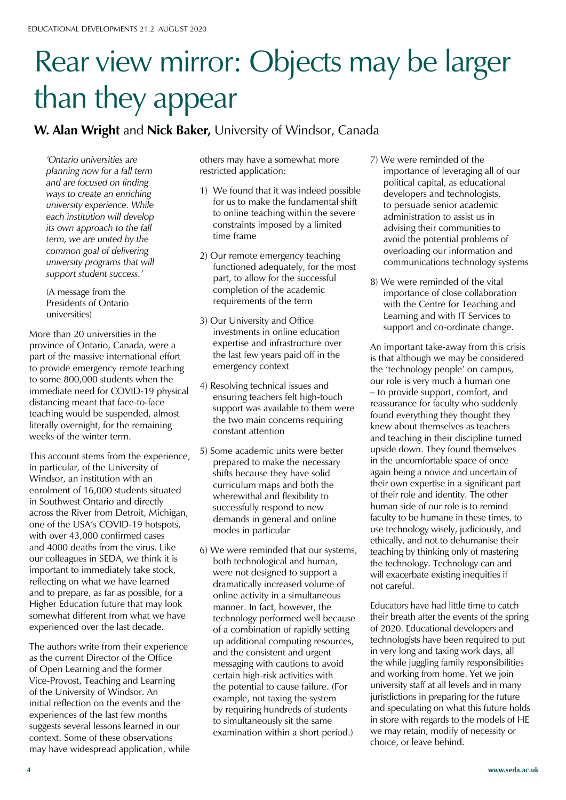# Rear view mirror: Objects may be larger than they appear

#### **W. Alan Wright** and **Nick Baker,** University of Windsor, Canada

*'Ontario universities are planning now for a fall term and are focused on finding ways to create an enriching university experience. While each institution will develop its own approach to the fall term, we are united by the common goal of delivering university programs that will support student success.'* 

(A message from the Presidents of Ontario universities)

More than 20 universities in the province of Ontario, Canada, were a part of the massive international effort to provide emergency remote teaching to some 800,000 students when the immediate need for COVID-19 physical distancing meant that face-to-face teaching would be suspended, almost literally overnight, for the remaining weeks of the winter term.

This account stems from the experience, in particular, of the University of Windsor, an institution with an enrolment of 16,000 students situated in Southwest Ontario and directly across the River from Detroit, Michigan, one of the USA's COVID-19 hotspots, with over 43,000 confirmed cases and 4000 deaths from the virus. Like our colleagues in SEDA, we think it is important to immediately take stock, reflecting on what we have learned and to prepare, as far as possible, for a Higher Education future that may look somewhat different from what we have experienced over the last decade.

The authors write from their experience as the current Director of the Office of Open Learning and the former Vice-Provost, Teaching and Learning of the University of Windsor. An initial reflection on the events and the experiences of the last few months suggests several lessons learned in our context. Some of these observations may have widespread application, while others may have a somewhat more restricted application:

- 1) We found that it was indeed possible for us to make the fundamental shift to online teaching within the severe constraints imposed by a limited time frame
- 2) Our remote emergency teaching functioned adequately, for the most part, to allow for the successful completion of the academic requirements of the term
- 3) Our University and Office investments in online education expertise and infrastructure over the last few years paid off in the emergency context
- 4) Resolving technical issues and ensuring teachers felt high-touch support was available to them were the two main concerns requiring constant attention
- 5) Some academic units were better prepared to make the necessary shifts because they have solid curriculum maps and both the wherewithal and flexibility to successfully respond to new demands in general and online modes in particular
- 6) We were reminded that our systems, both technological and human, were not designed to support a dramatically increased volume of online activity in a simultaneous manner. In fact, however, the technology performed well because of a combination of rapidly setting up additional computing resources, and the consistent and urgent messaging with cautions to avoid certain high-risk activities with the potential to cause failure. (For example, not taxing the system by requiring hundreds of students to simultaneously sit the same examination within a short period.)
- 7) We were reminded of the importance of leveraging all of our political capital, as educational developers and technologists, to persuade senior academic administration to assist us in advising their communities to avoid the potential problems of overloading our information and communications technology systems
- 8) We were reminded of the vital importance of close collaboration with the Centre for Teaching and Learning and with IT Services to support and co-ordinate change.

An important take-away from this crisis is that although we may be considered the 'technology people' on campus, our role is very much a human one  $-$  to provide support, comfort, and reassurance for faculty who suddenly found everything they thought they knew about themselves as teachers and teaching in their discipline turned upside down. They found themselves in the uncomfortable space of once again being a novice and uncertain of their own expertise in a significant part of their role and identity. The other human side of our role is to remind faculty to be humane in these times, to use technology wisely, judiciously, and ethically, and not to dehumanise their teaching by thinking only of mastering the technology. Technology can and will exacerbate existing inequities if not careful.

Educators have had little time to catch their breath after the events of the spring of 2020. Educational developers and technologists have been required to put in very long and taxing work days, all the while juggling family responsibilities and working from home. Yet we join university staff at all levels and in many jurisdictions in preparing for the future and speculating on what this future holds in store with regards to the models of HE we may retain, modify of necessity or choice, or leave behind.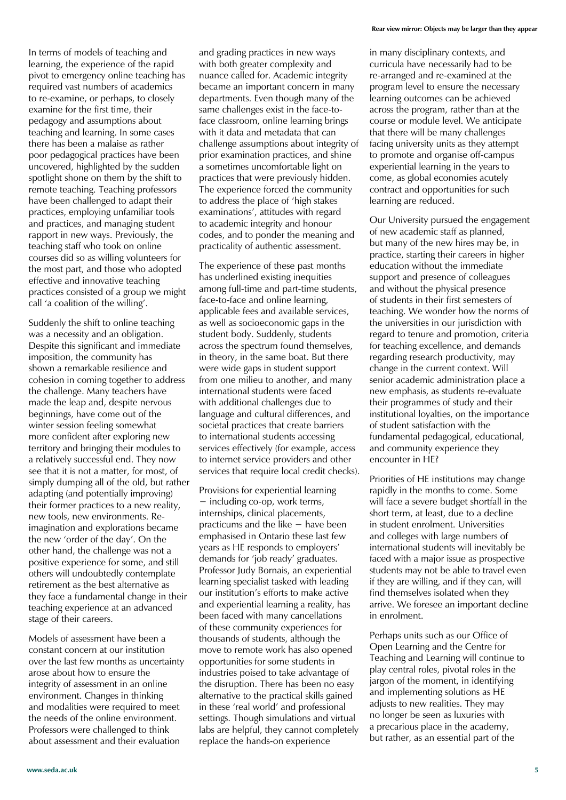In terms of models of teaching and learning, the experience of the rapid pivot to emergency online teaching has required vast numbers of academics to re-examine, or perhaps, to closely examine for the first time, their pedagogy and assumptions about teaching and learning. In some cases there has been a malaise as rather poor pedagogical practices have been uncovered, highlighted by the sudden spotlight shone on them by the shift to remote teaching. Teaching professors have been challenged to adapt their practices, employing unfamiliar tools and practices, and managing student rapport in new ways. Previously, the teaching staff who took on online courses did so as willing volunteers for the most part, and those who adopted effective and innovative teaching practices consisted of a group we might call 'a coalition of the willing'.

Suddenly the shift to online teaching was a necessity and an obligation. Despite this significant and immediate imposition, the community has shown a remarkable resilience and cohesion in coming together to address the challenge. Many teachers have made the leap and, despite nervous beginnings, have come out of the winter session feeling somewhat more confident after exploring new territory and bringing their modules to a relatively successful end. They now see that it is not a matter, for most, of simply dumping all of the old, but rather adapting (and potentially improving) their former practices to a new reality, new tools, new environments. Reimagination and explorations became the new 'order of the day'. On the other hand, the challenge was not a positive experience for some, and still others will undoubtedly contemplate retirement as the best alternative as they face a fundamental change in their teaching experience at an advanced stage of their careers.

Models of assessment have been a constant concern at our institution over the last few months as uncertainty arose about how to ensure the integrity of assessment in an online environment. Changes in thinking and modalities were required to meet the needs of the online environment. Professors were challenged to think about assessment and their evaluation

and grading practices in new ways with both greater complexity and nuance called for. Academic integrity became an important concern in many departments. Even though many of the same challenges exist in the face-toface classroom, online learning brings with it data and metadata that can challenge assumptions about integrity of prior examination practices, and shine a sometimes uncomfortable light on practices that were previously hidden. The experience forced the community to address the place of 'high stakes examinations', attitudes with regard to academic integrity and honour codes, and to ponder the meaning and practicality of authentic assessment.

The experience of these past months has underlined existing inequities among full-time and part-time students, face-to-face and online learning, applicable fees and available services, as well as socioeconomic gaps in the student body. Suddenly, students across the spectrum found themselves, in theory, in the same boat. But there were wide gaps in student support from one milieu to another, and many international students were faced with additional challenges due to language and cultural differences, and societal practices that create barriers to international students accessing services effectively (for example, access to internet service providers and other services that require local credit checks).

Provisions for experiential learning  $-$  including co-op, work terms, internships, clinical placements, practicums and the like  $-$  have been emphasised in Ontario these last few years as HE responds to employers' demands for 'job ready' graduates. Professor Judy Bornais, an experiential learning specialist tasked with leading our institution's efforts to make active and experiential learning a reality, has been faced with many cancellations of these community experiences for thousands of students, although the move to remote work has also opened opportunities for some students in industries poised to take advantage of the disruption. There has been no easy alternative to the practical skills gained in these 'real world' and professional settings. Though simulations and virtual labs are helpful, they cannot completely replace the hands-on experience

in many disciplinary contexts, and curricula have necessarily had to be re-arranged and re-examined at the program level to ensure the necessary learning outcomes can be achieved across the program, rather than at the course or module level. We anticipate that there will be many challenges facing university units as they attempt to promote and organise off-campus experiential learning in the years to come, as global economies acutely contract and opportunities for such learning are reduced.

Our University pursued the engagement of new academic staff as planned, but many of the new hires may be, in practice, starting their careers in higher education without the immediate support and presence of colleagues and without the physical presence of students in their first semesters of teaching. We wonder how the norms of the universities in our jurisdiction with regard to tenure and promotion, criteria for teaching excellence, and demands regarding research productivity, may change in the current context. Will senior academic administration place a new emphasis, as students re-evaluate their programmes of study and their institutional loyalties, on the importance of student satisfaction with the fundamental pedagogical, educational, and community experience they encounter in HE?

Priorities of HE institutions may change rapidly in the months to come. Some will face a severe budget shortfall in the short term, at least, due to a decline in student enrolment. Universities and colleges with large numbers of international students will inevitably be faced with a major issue as prospective students may not be able to travel even if they are willing, and if they can, will find themselves isolated when they arrive. We foresee an important decline in enrolment.

Perhaps units such as our Office of Open Learning and the Centre for Teaching and Learning will continue to play central roles, pivotal roles in the jargon of the moment, in identifying and implementing solutions as HE adiusts to new realities. They may no longer be seen as luxuries with a precarious place in the academy, but rather, as an essential part of the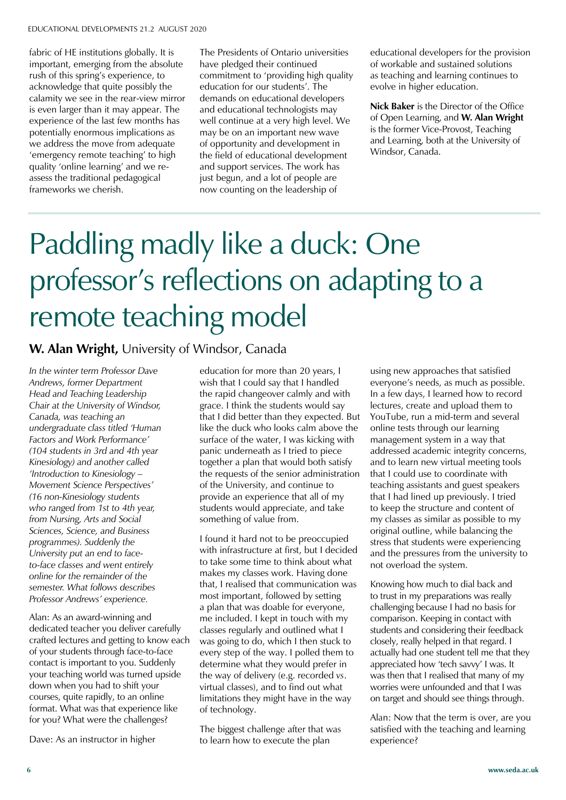fabric of HE institutions globally. It is important, emerging from the absolute rush of this spring's experience, to acknowledge that quite possibly the calamity we see in the rear-view mirror is even larger than it may appear. The experience of the last few months has potentially enormous implications as we address the move from adequate 'emergency remote teaching' to high quality 'online learning' and we reassess the traditional pedagogical frameworks we cherish.

The Presidents of Ontario universities have pledged their continued commitment to 'providing high quality education for our students'. The demands on educational developers and educational technologists may well continue at a very high level. We may be on an important new wave of opportunity and development in the field of educational development and support services. The work has just begun, and a lot of people are now counting on the leadership of

educational developers for the provision of workable and sustained solutions as teaching and learning continues to evolve in higher education.

**Nick Baker** is the Director of the Office of Open Learning, and **W. Alan Wright**  is the former Vice-Provost, Teaching and Learning, both at the University of Windsor, Canada.

# Paddling madly like a duck: One professor's reflections on adapting to a remote teaching model

#### **W. Alan Wright,** University of Windsor, Canada

*In the winter term Professor Dave Andrews, former Department Head and Teaching Leadership Chair at the University of Windsor, Canada, was teaching an undergraduate class titled 'Human Factors and Work Performance' (104 students in 3rd and 4th year Kinesiology) and another called 'Introduction to Kinesiology – Movement Science Perspectives' (16 non-Kinesiology students who ranged from 1st to 4th year, from Nursing, Arts and Social Sciences, Science, and Business programmes). Suddenly the University put an end to faceto-face classes and went entirely online for the remainder of the semester. What follows describes Professor Andrews' experience.*

Alan: As an award-winning and dedicated teacher you deliver carefully crafted lectures and getting to know each of your students through face-to-face contact is important to you. Suddenly your teaching world was turned upside down when you had to shift your courses, quite rapidly, to an online format. What was that experience like for you? What were the challenges?

Dave: As an instructor in higher

education for more than 20 years, I wish that I could say that I handled the rapid changeover calmly and with grace. I think the students would say that I did better than they expected. But like the duck who looks calm above the surface of the water, I was kicking with panic underneath as I tried to piece together a plan that would both satisfy the requests of the senior administration of the University, and continue to provide an experience that all of my students would appreciate, and take something of value from.

I found it hard not to be preoccupied with infrastructure at first, but I decided to take some time to think about what makes my classes work. Having done that, I realised that communication was most important, followed by setting a plan that was doable for everyone, me included. I kept in touch with my classes regularly and outlined what I was going to do, which I then stuck to every step of the way. I polled them to determine what they would prefer in the way of delivery (e.g. recorded *vs*. virtual classes), and to find out what limitations they might have in the way of technology.

The biggest challenge after that was to learn how to execute the plan

using new approaches that satisfied everyone's needs, as much as possible. In a few days, I learned how to record lectures, create and upload them to YouTube, run a mid-term and several online tests through our learning management system in a way that addressed academic integrity concerns, and to learn new virtual meeting tools that I could use to coordinate with teaching assistants and guest speakers that I had lined up previously. I tried to keep the structure and content of my classes as similar as possible to my original outline, while balancing the stress that students were experiencing and the pressures from the university to not overload the system.

Knowing how much to dial back and to trust in my preparations was really challenging because I had no basis for comparison. Keeping in contact with students and considering their feedback closely, really helped in that regard. I actually had one student tell me that they appreciated how 'tech savvy' I was. It was then that I realised that many of my worries were unfounded and that I was on target and should see things through.

Alan: Now that the term is over, are you satisfied with the teaching and learning experience?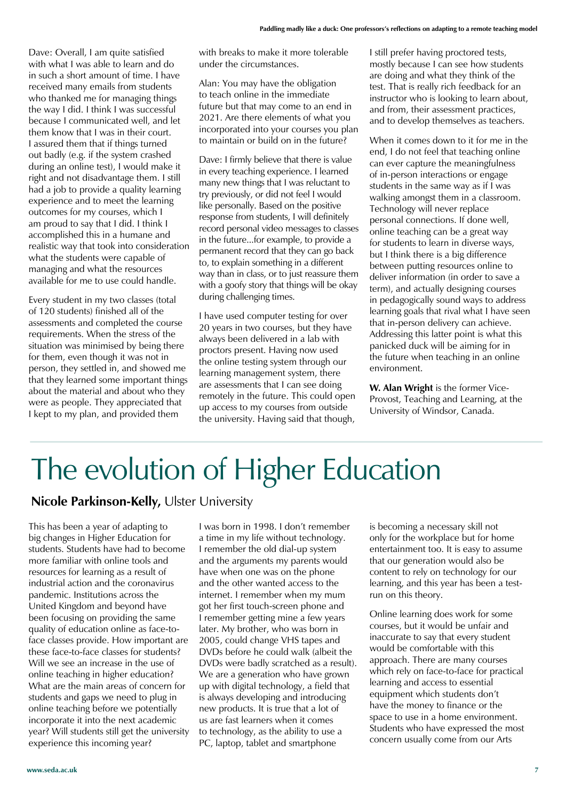Dave: Overall, I am quite satisfied with what I was able to learn and do in such a short amount of time. I have received many emails from students who thanked me for managing things the way I did. I think I was successful because I communicated well, and let them know that I was in their court. I assured them that if things turned out badly (e.g. if the system crashed during an online test), I would make it right and not disadvantage them. I still had a job to provide a quality learning experience and to meet the learning outcomes for my courses, which I am proud to say that I did. I think I accomplished this in a humane and realistic way that took into consideration what the students were capable of managing and what the resources available for me to use could handle.

Every student in my two classes (total of 120 students) finished all of the assessments and completed the course requirements. When the stress of the situation was minimised by being there for them, even though it was not in person, they settled in, and showed me that they learned some important things about the material and about who they were as people. They appreciated that I kept to my plan, and provided them

with breaks to make it more tolerable under the circumstances.

Alan: You may have the obligation to teach online in the immediate future but that may come to an end in 2021. Are there elements of what you incorporated into your courses you plan to maintain or build on in the future?

Dave: I firmly believe that there is value in every teaching experience. I learned many new things that I was reluctant to try previously, or did not feel I would like personally. Based on the positive response from students, I will definitely record personal video messages to classes in the future...for example, to provide a permanent record that they can go back to, to explain something in a different way than in class, or to just reassure them with a goofy story that things will be okay during challenging times.

I have used computer testing for over 20 years in two courses, but they have always been delivered in a lab with proctors present. Having now used the online testing system through our learning management system, there are assessments that I can see doing remotely in the future. This could open up access to my courses from outside the university. Having said that though,

I still prefer having proctored tests, mostly because I can see how students are doing and what they think of the test. That is really rich feedback for an instructor who is looking to learn about, and from, their assessment practices, and to develop themselves as teachers.

When it comes down to it for me in the end, I do not feel that teaching online can ever capture the meaningfulness of in-person interactions or engage students in the same way as if I was walking amongst them in a classroom. Technology will never replace personal connections. If done well, online teaching can be a great way for students to learn in diverse ways, but I think there is a big difference between putting resources online to deliver information (in order to save a term), and actually designing courses in pedagogically sound ways to address learning goals that rival what I have seen that in-person delivery can achieve. Addressing this latter point is what this panicked duck will be aiming for in the future when teaching in an online environment.

**W. Alan Wright** is the former Vice-Provost, Teaching and Learning, at the University of Windsor, Canada.

# The evolution of Higher Education

#### **Nicole Parkinson-Kelly,** Ulster University

This has been a year of adapting to big changes in Higher Education for students. Students have had to become more familiar with online tools and resources for learning as a result of industrial action and the coronavirus pandemic. Institutions across the United Kingdom and beyond have been focusing on providing the same quality of education online as face-toface classes provide. How important are these face-to-face classes for students? Will we see an increase in the use of online teaching in higher education? What are the main areas of concern for students and gaps we need to plug in online teaching before we potentially incorporate it into the next academic year? Will students still get the university experience this incoming year?

I was born in 1998. I don't remember a time in my life without technology. I remember the old dial-up system and the arguments my parents would have when one was on the phone and the other wanted access to the internet. I remember when my mum got her first touch-screen phone and I remember getting mine a few years later. My brother, who was born in 2005, could change VHS tapes and DVDs before he could walk (albeit the DVDs were badly scratched as a result). We are a generation who have grown up with digital technology, a field that is always developing and introducing new products. It is true that a lot of us are fast learners when it comes to technology, as the ability to use a PC, laptop, tablet and smartphone

is becoming a necessary skill not only for the workplace but for home entertainment too. It is easy to assume that our generation would also be content to rely on technology for our learning, and this year has been a testrun on this theory.

Online learning does work for some courses, but it would be unfair and inaccurate to say that every student would be comfortable with this approach. There are many courses which rely on face-to-face for practical learning and access to essential equipment which students don't have the money to finance or the space to use in a home environment. Students who have expressed the most concern usually come from our Arts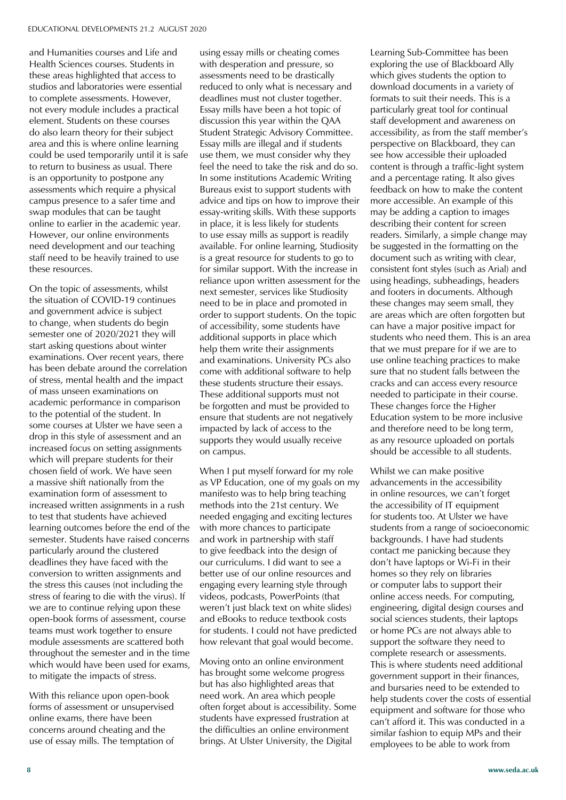and Humanities courses and Life and Health Sciences courses. Students in these areas highlighted that access to studios and laboratories were essential to complete assessments. However, not every module includes a practical element. Students on these courses do also learn theory for their subject area and this is where online learning could be used temporarily until it is safe to return to business as usual. There is an opportunity to postpone any assessments which require a physical campus presence to a safer time and swap modules that can be taught online to earlier in the academic year. However, our online environments need development and our teaching staff need to be heavily trained to use these resources.

On the topic of assessments, whilst the situation of COVID-19 continues and government advice is subject to change, when students do begin semester one of 2020/2021 they will start asking questions about winter examinations. Over recent years, there has been debate around the correlation of stress, mental health and the impact of mass unseen examinations on academic performance in comparison to the potential of the student. In some courses at Ulster we have seen a drop in this style of assessment and an increased focus on setting assignments which will prepare students for their chosen field of work. We have seen a massive shift nationally from the examination form of assessment to increased written assignments in a rush to test that students have achieved learning outcomes before the end of the semester. Students have raised concerns particularly around the clustered deadlines they have faced with the conversion to written assignments and the stress this causes (not including the stress of fearing to die with the virus). If we are to continue relying upon these open-book forms of assessment, course teams must work together to ensure module assessments are scattered both throughout the semester and in the time which would have been used for exams, to mitigate the impacts of stress.

With this reliance upon open-book forms of assessment or unsupervised online exams, there have been concerns around cheating and the use of essay mills. The temptation of using essay mills or cheating comes with desperation and pressure, so assessments need to be drastically reduced to only what is necessary and deadlines must not cluster together. Essay mills have been a hot topic of discussion this year within the QAA Student Strategic Advisory Committee. Essay mills are illegal and if students use them, we must consider why they feel the need to take the risk and do so. In some institutions Academic Writing Bureaus exist to support students with advice and tips on how to improve their essay-writing skills. With these supports in place, it is less likely for students to use essay mills as support is readily available. For online learning, Studiosity is a great resource for students to go to for similar support. With the increase in reliance upon written assessment for the next semester, services like Studiosity need to be in place and promoted in order to support students. On the topic of accessibility, some students have additional supports in place which help them write their assignments and examinations. University PCs also come with additional software to help these students structure their essays. These additional supports must not be forgotten and must be provided to ensure that students are not negatively impacted by lack of access to the supports they would usually receive on campus.

When I put myself forward for my role as VP Education, one of my goals on my manifesto was to help bring teaching methods into the 21st century. We needed engaging and exciting lectures with more chances to participate and work in partnership with staff to give feedback into the design of our curriculums. I did want to see a better use of our online resources and engaging every learning style through videos, podcasts, PowerPoints (that weren't just black text on white slides) and eBooks to reduce textbook costs for students. I could not have predicted how relevant that goal would become.

Moving onto an online environment has brought some welcome progress but has also highlighted areas that need work. An area which people often forget about is accessibility. Some students have expressed frustration at the difficulties an online environment brings. At Ulster University, the Digital

Learning Sub-Committee has been exploring the use of Blackboard Ally which gives students the option to download documents in a variety of formats to suit their needs. This is a particularly great tool for continual staff development and awareness on accessibility, as from the staff member's perspective on Blackboard, they can see how accessible their uploaded content is through a traffic-light system and a percentage rating. It also gives feedback on how to make the content more accessible. An example of this may be adding a caption to images describing their content for screen readers. Similarly, a simple change may be suggested in the formatting on the document such as writing with clear, consistent font styles (such as Arial) and using headings, subheadings, headers and footers in documents. Although these changes may seem small, they are areas which are often forgotten but can have a major positive impact for students who need them. This is an area that we must prepare for if we are to use online teaching practices to make sure that no student falls between the cracks and can access every resource needed to participate in their course. These changes force the Higher Education system to be more inclusive and therefore need to be long term, as any resource uploaded on portals should be accessible to all students.

Whilst we can make positive advancements in the accessibility in online resources, we can't forget the accessibility of IT equipment for students too. At Ulster we have students from a range of socioeconomic backgrounds. I have had students contact me panicking because they don't have laptops or Wi-Fi in their homes so they rely on libraries or computer labs to support their online access needs. For computing, engineering, digital design courses and social sciences students, their laptops or home PCs are not always able to support the software they need to complete research or assessments. This is where students need additional government support in their finances, and bursaries need to be extended to help students cover the costs of essential equipment and software for those who can't afford it. This was conducted in a similar fashion to equip MPs and their employees to be able to work from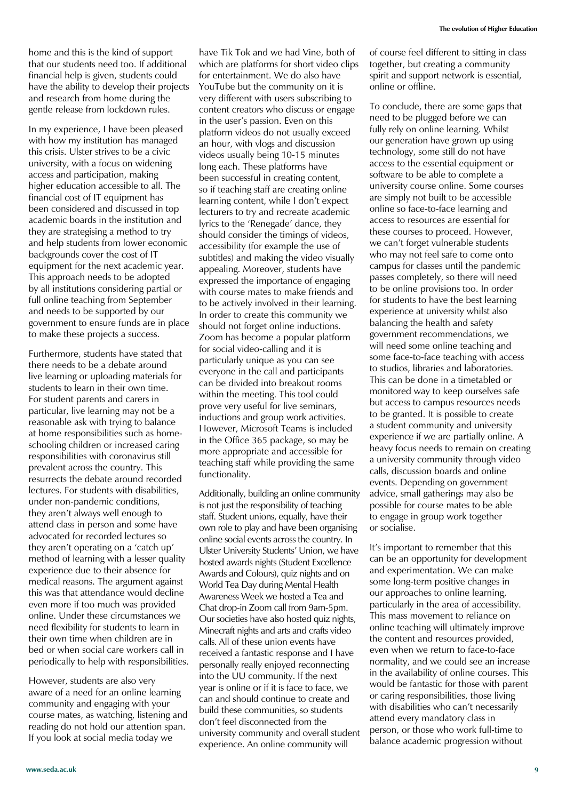home and this is the kind of support that our students need too. If additional financial help is given, students could have the ability to develop their projects and research from home during the gentle release from lockdown rules.

In my experience, I have been pleased with how my institution has managed this crisis. Ulster strives to be a civic university, with a focus on widening access and participation, making higher education accessible to all. The financial cost of IT equipment has been considered and discussed in top academic boards in the institution and they are strategising a method to try and help students from lower economic backgrounds cover the cost of IT equipment for the next academic year. This approach needs to be adopted by all institutions considering partial or full online teaching from September and needs to be supported by our government to ensure funds are in place to make these projects a success.

Furthermore, students have stated that there needs to be a debate around live learning or uploading materials for students to learn in their own time. For student parents and carers in particular, live learning may not be a reasonable ask with trying to balance at home responsibilities such as homeschooling children or increased caring responsibilities with coronavirus still prevalent across the country. This resurrects the debate around recorded lectures. For students with disabilities, under non-pandemic conditions, they aren't always well enough to attend class in person and some have advocated for recorded lectures so they aren't operating on a 'catch up' method of learning with a lesser quality experience due to their absence for medical reasons. The argument against this was that attendance would decline even more if too much was provided online. Under these circumstances we need flexibility for students to learn in their own time when children are in bed or when social care workers call in periodically to help with responsibilities.

However, students are also very aware of a need for an online learning community and engaging with your course mates, as watching, listening and reading do not hold our attention span. If you look at social media today we

have Tik Tok and we had Vine, both of which are platforms for short video clips for entertainment. We do also have YouTube but the community on it is very different with users subscribing to content creators who discuss or engage in the user's passion. Even on this platform videos do not usually exceed an hour, with vlogs and discussion videos usually being 10-15 minutes long each. These platforms have been successful in creating content, so if teaching staff are creating online learning content, while I don't expect lecturers to try and recreate academic lyrics to the 'Renegade' dance, they should consider the timings of videos, accessibility (for example the use of subtitles) and making the video visually appealing. Moreover, students have expressed the importance of engaging with course mates to make friends and to be actively involved in their learning. In order to create this community we should not forget online inductions. Zoom has become a popular platform for social video-calling and it is particularly unique as you can see everyone in the call and participants can be divided into breakout rooms within the meeting. This tool could prove very useful for live seminars, inductions and group work activities. However, Microsoft Teams is included in the Office 365 package, so may be more appropriate and accessible for teaching staff while providing the same functionality.

Additionally, building an online community is not just the responsibility of teaching staff. Student unions, equally, have their own role to play and have been organising online social events across the country. In Ulster University Students' Union, we have hosted awards nights (Student Excellence Awards and Colours), quiz nights and on World Tea Day during Mental Health Awareness Week we hosted a Tea and Chat drop-in Zoom call from 9am-5pm. Our societies have also hosted quiz nights, Minecraft nights and arts and crafts video calls. All of these union events have received a fantastic response and I have personally really enjoyed reconnecting into the UU community. If the next year is online or if it is face to face, we can and should continue to create and build these communities, so students don't feel disconnected from the university community and overall student experience. An online community will

of course feel different to sitting in class together, but creating a community spirit and support network is essential, online or offline.

To conclude, there are some gaps that need to be plugged before we can fully rely on online learning. Whilst our generation have grown up using technology, some still do not have access to the essential equipment or software to be able to complete a university course online. Some courses are simply not built to be accessible online so face-to-face learning and access to resources are essential for these courses to proceed. However, we can't forget vulnerable students who may not feel safe to come onto campus for classes until the pandemic passes completely, so there will need to be online provisions too. In order for students to have the best learning experience at university whilst also balancing the health and safety government recommendations, we will need some online teaching and some face-to-face teaching with access to studios, libraries and laboratories. This can be done in a timetabled or monitored way to keep ourselves safe but access to campus resources needs to be granted. It is possible to create a student community and university experience if we are partially online. A heavy focus needs to remain on creating a university community through video calls, discussion boards and online events. Depending on government advice, small gatherings may also be possible for course mates to be able to engage in group work together or socialise.

It's important to remember that this can be an opportunity for development and experimentation. We can make some long-term positive changes in our approaches to online learning, particularly in the area of accessibility. This mass movement to reliance on online teaching will ultimately improve the content and resources provided, even when we return to face-to-face normality, and we could see an increase in the availability of online courses. This would be fantastic for those with parent or caring responsibilities, those living with disabilities who can't necessarily attend every mandatory class in person, or those who work full-time to balance academic progression without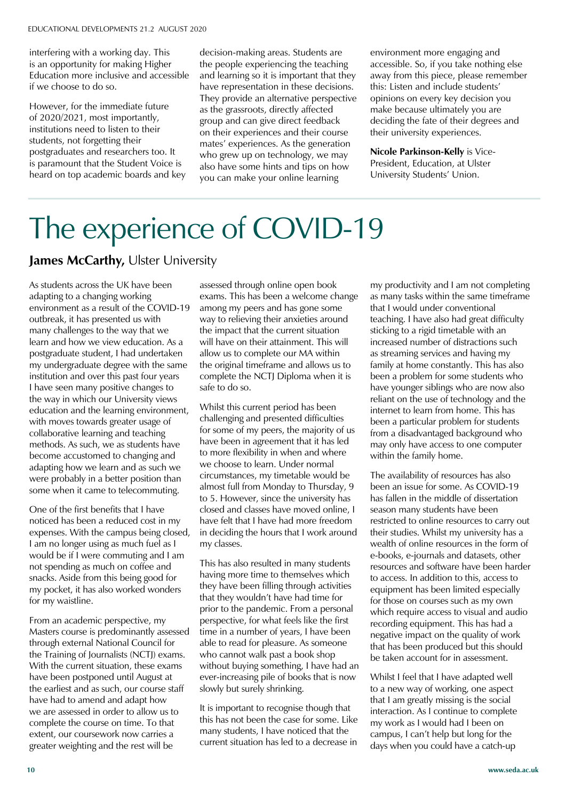interfering with a working day. This is an opportunity for making Higher Education more inclusive and accessible if we choose to do so.

However, for the immediate future of 2020/2021, most importantly, institutions need to listen to their students, not forgetting their postgraduates and researchers too. It is paramount that the Student Voice is heard on top academic boards and key decision-making areas. Students are the people experiencing the teaching and learning so it is important that they have representation in these decisions. They provide an alternative perspective as the grassroots, directly affected group and can give direct feedback on their experiences and their course mates' experiences. As the generation who grew up on technology, we may also have some hints and tips on how you can make your online learning

environment more engaging and accessible. So, if you take nothing else away from this piece, please remember this: Listen and include students' opinions on every key decision you make because ultimately you are deciding the fate of their degrees and their university experiences.

**Nicole Parkinson-Kelly** is Vice-President, Education, at Ulster University Students' Union.

### The experience of COVID-19

**James McCarthy, Ulster University** 

As students across the UK have been adapting to a changing working environment as a result of the COVID-19 outbreak, it has presented us with many challenges to the way that we learn and how we view education. As a postgraduate student, I had undertaken my undergraduate degree with the same institution and over this past four years I have seen many positive changes to the way in which our University views education and the learning environment, with moves towards greater usage of collaborative learning and teaching methods. As such, we as students have become accustomed to changing and adapting how we learn and as such we were probably in a better position than some when it came to telecommuting.

One of the first benefits that I have noticed has been a reduced cost in my expenses. With the campus being closed, I am no longer using as much fuel as I would be if I were commuting and I am not spending as much on coffee and snacks. Aside from this being good for my pocket, it has also worked wonders for my waistline.

From an academic perspective, my Masters course is predominantly assessed through external National Council for the Training of Journalists (NCTJ) exams. With the current situation, these exams have been postponed until August at the earliest and as such, our course staff have had to amend and adapt how we are assessed in order to allow us to complete the course on time. To that extent, our coursework now carries a greater weighting and the rest will be

assessed through online open book exams. This has been a welcome change among my peers and has gone some way to relieving their anxieties around the impact that the current situation will have on their attainment. This will allow us to complete our MA within the original timeframe and allows us to complete the NCTJ Diploma when it is safe to do so.

Whilst this current period has been challenging and presented difficulties for some of my peers, the majority of us have been in agreement that it has led to more flexibility in when and where we choose to learn. Under normal circumstances, my timetable would be almost full from Monday to Thursday, 9 to 5. However, since the university has closed and classes have moved online, I have felt that I have had more freedom in deciding the hours that I work around my classes.

This has also resulted in many students having more time to themselves which they have been filling through activities that they wouldn't have had time for prior to the pandemic. From a personal perspective, for what feels like the first time in a number of years, I have been able to read for pleasure. As someone who cannot walk past a book shop without buying something, I have had an ever-increasing pile of books that is now slowly but surely shrinking.

It is important to recognise though that this has not been the case for some. Like many students, I have noticed that the current situation has led to a decrease in

my productivity and I am not completing as many tasks within the same timeframe that I would under conventional teaching. I have also had great difficulty sticking to a rigid timetable with an increased number of distractions such as streaming services and having my family at home constantly. This has also been a problem for some students who have younger siblings who are now also reliant on the use of technology and the internet to learn from home. This has been a particular problem for students from a disadvantaged background who may only have access to one computer within the family home.

The availability of resources has also been an issue for some. As COVID-19 has fallen in the middle of dissertation season many students have been restricted to online resources to carry out their studies. Whilst my university has a wealth of online resources in the form of e-books, e-journals and datasets, other resources and software have been harder to access. In addition to this, access to equipment has been limited especially for those on courses such as my own which require access to visual and audio recording equipment. This has had a negative impact on the quality of work that has been produced but this should be taken account for in assessment.

Whilst I feel that I have adapted well to a new way of working, one aspect that I am greatly missing is the social interaction. As I continue to complete my work as I would had I been on campus, I can't help but long for the days when you could have a catch-up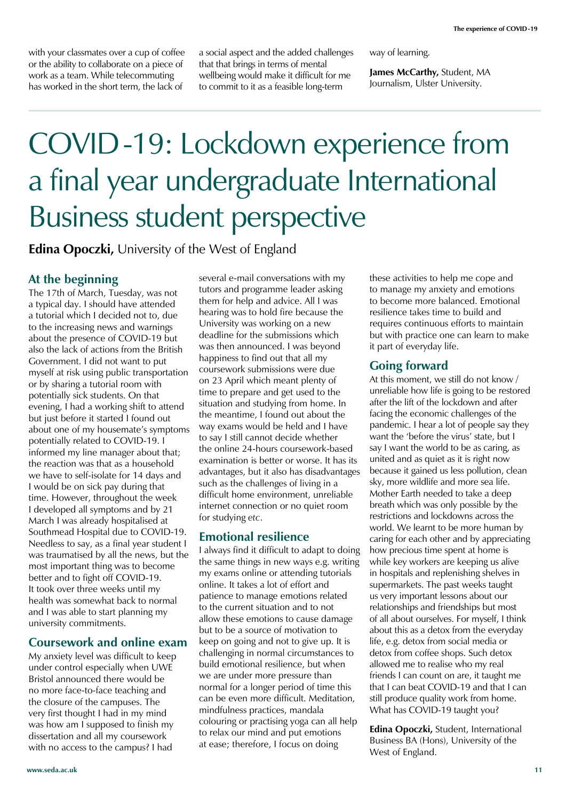with your classmates over a cup of coffee or the ability to collaborate on a piece of work as a team. While telecommuting has worked in the short term, the lack of

a social aspect and the added challenges that that brings in terms of mental wellbeing would make it difficult for me to commit to it as a feasible long-term

way of learning.

**James McCarthy,** Student, MA Journalism, Ulster University.

### COVID-19: Lockdown experience from a final year undergraduate International Business student perspective

**Edina Opoczki,** University of the West of England

#### **At the beginning**

The 17th of March, Tuesday, was not a typical day. I should have attended a tutorial which I decided not to, due to the increasing news and warnings about the presence of COVID-19 but also the lack of actions from the British Government. I did not want to put myself at risk using public transportation or by sharing a tutorial room with potentially sick students. On that evening, I had a working shift to attend but just before it started I found out about one of my housemate's symptoms potentially related to COVID-19. I informed my line manager about that; the reaction was that as a household we have to self-isolate for 14 days and I would be on sick pay during that time. However, throughout the week I developed all symptoms and by 21 March I was already hospitalised at Southmead Hospital due to COVID-19. Needless to say, as a final year student I was traumatised by all the news, but the most important thing was to become better and to fight off COVID-19. It took over three weeks until my health was somewhat back to normal and I was able to start planning my university commitments.

#### **Coursework and online exam**

My anxiety level was difficult to keep under control especially when UWE Bristol announced there would be no more face-to-face teaching and the closure of the campuses. The very first thought I had in my mind was how am I supposed to finish my dissertation and all my coursework with no access to the campus? I had

several e-mail conversations with my tutors and programme leader asking them for help and advice. All I was hearing was to hold fire because the University was working on a new deadline for the submissions which was then announced. I was beyond happiness to find out that all my coursework submissions were due on 23 April which meant plenty of time to prepare and get used to the situation and studying from home. In the meantime, I found out about the way exams would be held and I have to say I still cannot decide whether the online 24-hours coursework-based examination is better or worse. It has its advantages, but it also has disadvantages such as the challenges of living in a difficult home environment, unreliable internet connection or no quiet room for studying *etc*.

#### **Emotional resilience**

I always find it difficult to adapt to doing the same things in new ways e.g. writing my exams online or attending tutorials online. It takes a lot of effort and patience to manage emotions related to the current situation and to not allow these emotions to cause damage but to be a source of motivation to keep on going and not to give up. It is challenging in normal circumstances to build emotional resilience, but when we are under more pressure than normal for a longer period of time this can be even more difficult. Meditation, mindfulness practices, mandala colouring or practising yoga can all help to relax our mind and put emotions at ease; therefore, I focus on doing

these activities to help me cope and to manage my anxiety and emotions to become more balanced. Emotional resilience takes time to build and requires continuous efforts to maintain but with practice one can learn to make it part of everyday life.

#### **Going forward**

At this moment, we still do not know / unreliable how life is going to be restored after the lift of the lockdown and after facing the economic challenges of the pandemic. I hear a lot of people say they want the 'before the virus' state, but I say I want the world to be as caring, as united and as quiet as it is right now because it gained us less pollution, clean sky, more wildlife and more sea life. Mother Earth needed to take a deep breath which was only possible by the restrictions and lockdowns across the world. We learnt to be more human by caring for each other and by appreciating how precious time spent at home is while key workers are keeping us alive in hospitals and replenishing shelves in supermarkets. The past weeks taught us very important lessons about our relationships and friendships but most of all about ourselves. For myself, I think about this as a detox from the everyday life, e.g. detox from social media or detox from coffee shops. Such detox allowed me to realise who my real friends I can count on are, it taught me that I can beat COVID-19 and that I can still produce quality work from home. What has COVID-19 taught you?

**Edina Opoczki,** Student, International Business BA (Hons), University of the West of England.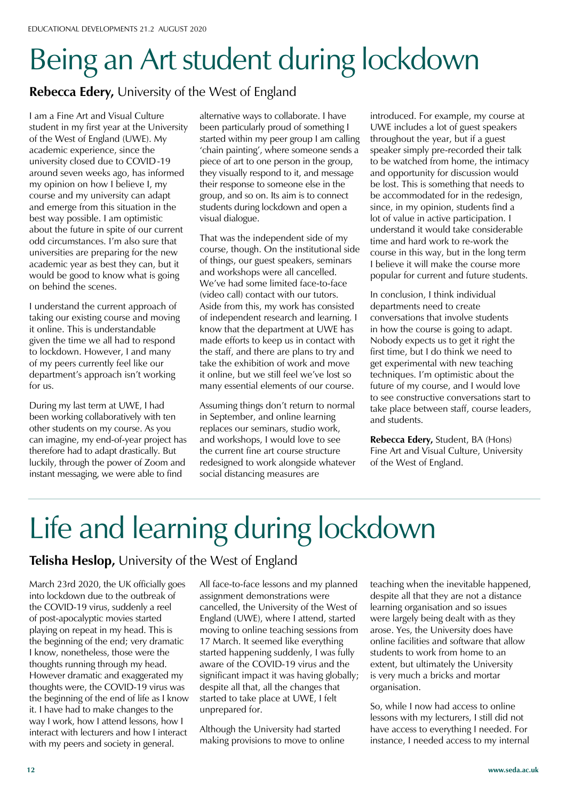## Being an Art student during lockdown

#### **Rebecca Edery,** University of the West of England

I am a Fine Art and Visual Culture student in my first year at the University of the West of England (UWE). My academic experience, since the university closed due to COVID-19 around seven weeks ago, has informed my opinion on how I believe I, my course and my university can adapt and emerge from this situation in the best way possible. I am optimistic about the future in spite of our current odd circumstances. I'm also sure that universities are preparing for the new academic year as best they can, but it would be good to know what is going on behind the scenes.

I understand the current approach of taking our existing course and moving it online. This is understandable given the time we all had to respond to lockdown. However, I and many of my peers currently feel like our department's approach isn't working for us.

During my last term at UWE, I had been working collaboratively with ten other students on my course. As you can imagine, my end-of-year project has therefore had to adapt drastically. But luckily, through the power of Zoom and instant messaging, we were able to find

alternative ways to collaborate. I have been particularly proud of something I started within my peer group I am calling 'chain painting', where someone sends a piece of art to one person in the group, they visually respond to it, and message their response to someone else in the group, and so on. Its aim is to connect students during lockdown and open a visual dialogue.

That was the independent side of my course, though. On the institutional side of things, our guest speakers, seminars and workshops were all cancelled. We've had some limited face-to-face (video call) contact with our tutors. Aside from this, my work has consisted of independent research and learning. I know that the department at UWE has made efforts to keep us in contact with the staff, and there are plans to try and take the exhibition of work and move it online, but we still feel we've lost so many essential elements of our course.

Assuming things don't return to normal in September, and online learning replaces our seminars, studio work, and workshops, I would love to see the current fine art course structure redesigned to work alongside whatever social distancing measures are

introduced. For example, my course at UWE includes a lot of guest speakers throughout the year, but if a guest speaker simply pre-recorded their talk to be watched from home, the intimacy and opportunity for discussion would be lost. This is something that needs to be accommodated for in the redesign, since, in my opinion, students find a lot of value in active participation. I understand it would take considerable time and hard work to re-work the course in this way, but in the long term I believe it will make the course more popular for current and future students.

In conclusion, I think individual departments need to create conversations that involve students in how the course is going to adapt. Nobody expects us to get it right the first time, but I do think we need to get experimental with new teaching techniques. I'm optimistic about the future of my course, and I would love to see constructive conversations start to take place between staff, course leaders, and students.

**Rebecca Edery,** Student, BA (Hons) Fine Art and Visual Culture, University of the West of England.

# Life and learning during lockdown

#### **Telisha Heslop,** University of the West of England

March 23rd 2020, the UK officially goes into lockdown due to the outbreak of the COVID-19 virus, suddenly a reel of post-apocalyptic movies started playing on repeat in my head. This is the beginning of the end; very dramatic I know, nonetheless, those were the thoughts running through my head. However dramatic and exaggerated my thoughts were, the COVID-19 virus was the beginning of the end of life as I know it. I have had to make changes to the way I work, how I attend lessons, how I interact with lecturers and how I interact with my peers and society in general.

All face-to-face lessons and my planned assignment demonstrations were cancelled, the University of the West of England (UWE), where I attend, started moving to online teaching sessions from 17 March. It seemed like everything started happening suddenly, I was fully aware of the COVID-19 virus and the significant impact it was having globally; despite all that, all the changes that started to take place at UWE, I felt unprepared for.

Although the University had started making provisions to move to online teaching when the inevitable happened, despite all that they are not a distance learning organisation and so issues were largely being dealt with as they arose. Yes, the University does have online facilities and software that allow students to work from home to an extent, but ultimately the University is very much a bricks and mortar organisation.

So, while I now had access to online lessons with my lecturers, I still did not have access to everything I needed. For instance, I needed access to my internal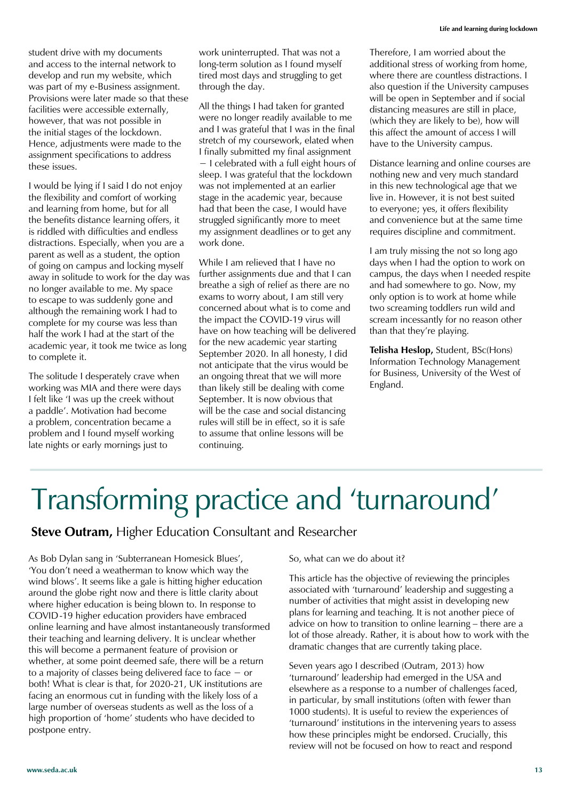student drive with my documents and access to the internal network to develop and run my website, which was part of my e-Business assignment. Provisions were later made so that these facilities were accessible externally, however, that was not possible in the initial stages of the lockdown. Hence, adjustments were made to the assignment specifications to address these issues.

I would be lying if I said I do not enjoy the flexibility and comfort of working and learning from home, but for all the benefits distance learning offers, it is riddled with difficulties and endless distractions. Especially, when you are a parent as well as a student, the option of going on campus and locking myself away in solitude to work for the day was no longer available to me. My space to escape to was suddenly gone and although the remaining work I had to complete for my course was less than half the work I had at the start of the academic year, it took me twice as long to complete it.

The solitude I desperately crave when working was MIA and there were days I felt like 'I was up the creek without a paddle'. Motivation had become a problem, concentration became a problem and I found myself working late nights or early mornings just to

work uninterrupted. That was not a long-term solution as I found myself tired most days and struggling to get through the day.

All the things I had taken for granted were no longer readily available to me and I was grateful that I was in the final stretch of my coursework, elated when I finally submitted my final assignment  $-$  I celebrated with a full eight hours of sleep. I was grateful that the lockdown was not implemented at an earlier stage in the academic year, because had that been the case, I would have struggled significantly more to meet my assignment deadlines or to get any work done.

While I am relieved that I have no further assignments due and that I can breathe a sigh of relief as there are no exams to worry about, I am still very concerned about what is to come and the impact the COVID-19 virus will have on how teaching will be delivered for the new academic year starting September 2020. In all honesty, I did not anticipate that the virus would be an ongoing threat that we will more than likely still be dealing with come September. It is now obvious that will be the case and social distancing rules will still be in effect, so it is safe to assume that online lessons will be continuing.

Therefore, I am worried about the additional stress of working from home, where there are countless distractions. I also question if the University campuses will be open in September and if social distancing measures are still in place, (which they are likely to be), how will this affect the amount of access I will have to the University campus.

Distance learning and online courses are nothing new and very much standard in this new technological age that we live in. However, it is not best suited to everyone; yes, it offers flexibility and convenience but at the same time requires discipline and commitment.

I am truly missing the not so long ago days when I had the option to work on campus, the days when I needed respite and had somewhere to go. Now, my only option is to work at home while two screaming toddlers run wild and scream incessantly for no reason other than that they're playing.

**Telisha Heslop,** Student, BSc(Hons) Information Technology Management for Business, University of the West of England.

### Transforming practice and 'turnaround'

**Steve Outram,** Higher Education Consultant and Researcher

As Bob Dylan sang in 'Subterranean Homesick Blues', 'You don't need a weatherman to know which way the wind blows'. It seems like a gale is hitting higher education around the globe right now and there is little clarity about where higher education is being blown to. In response to COVID-19 higher education providers have embraced online learning and have almost instantaneously transformed their teaching and learning delivery. It is unclear whether this will become a permanent feature of provision or whether, at some point deemed safe, there will be a return to a majority of classes being delivered face to face  $-$  or both! What is clear is that, for 2020-21, UK institutions are facing an enormous cut in funding with the likely loss of a large number of overseas students as well as the loss of a high proportion of 'home' students who have decided to postpone entry.

So, what can we do about it?

This article has the objective of reviewing the principles associated with 'turnaround' leadership and suggesting a number of activities that might assist in developing new plans for learning and teaching. It is not another piece of advice on how to transition to online learning – there are a lot of those already. Rather, it is about how to work with the dramatic changes that are currently taking place.

Seven years ago I described (Outram, 2013) how 'turnaround' leadership had emerged in the USA and elsewhere as a response to a number of challenges faced, in particular, by small institutions (often with fewer than 1000 students). It is useful to review the experiences of 'turnaround' institutions in the intervening vears to assess how these principles might be endorsed. Crucially, this review will not be focused on how to react and respond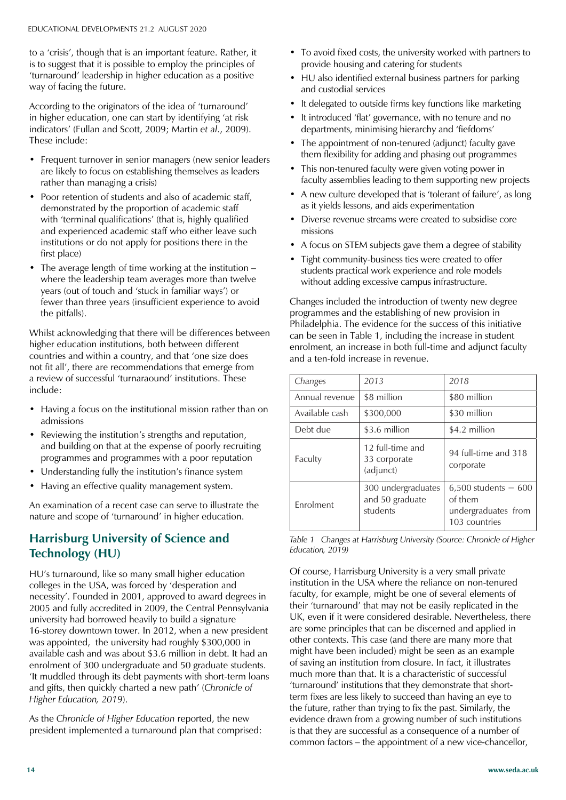to a 'crisis', though that is an important feature. Rather, it is to suggest that it is possible to employ the principles of 'turnaround' leadership in higher education as a positive way of facing the future.

According to the originators of the idea of 'turnaround' in higher education, one can start by identifying 'at risk indicators' (Fullan and Scott, 2009; Martin et al., 2009). These include:

- Frequent turnover in senior managers (new senior leaders are likely to focus on establishing themselves as leaders rather than managing a crisis)
- Poor retention of students and also of academic staff, demonstrated by the proportion of academic staff with 'terminal qualifications' (that is, highly qualified and experienced academic staff who either leave such institutions or do not apply for positions there in the first place)
- The average length of time working at the institution  $$ where the leadership team averages more than twelve years (out of touch and 'stuck in familiar ways') or fewer than three years (insufficient experience to avoid the pitfalls).

Whilst acknowledging that there will be differences between higher education institutions, both between different countries and within a country, and that 'one size does not fit all', there are recommendations that emerge from a review of successful 'turnaraound' institutions. These include:

- Having a focus on the institutional mission rather than on admissions
- Reviewing the institution's strengths and reputation, and building on that at the expense of poorly recruiting programmes and programmes with a poor reputation
- Understanding fully the institution's finance system
- Having an effective quality management system.

An examination of a recent case can serve to illustrate the nature and scope of 'turnaround' in higher education.

#### **Harrisburg University of Science and Technology (HU)**

HU's turnaround, like so many small higher education colleges in the USA, was forced by 'desperation and necessity'. Founded in 2001, approved to award degrees in 2005 and fully accredited in 2009, the Central Pennsylvania university had borrowed heavily to build a signature 16-storey downtown tower. In 2012, when a new president was appointed, the university had roughly \$300,000 in available cash and was about \$3.6 million in debt. It had an enrolment of 300 undergraduate and 50 graduate students. 'It muddled through its debt payments with short-term loans and gifts, then quickly charted a new path' (Chronicle of *Higher Education, 2019*).

As the *Chronicle of Higher Education* reported, the new president implemented a turnaround plan that comprised:

- To avoid fixed costs, the university worked with partners to provide housing and catering for students
- HU also identified external business partners for parking and custodial services
- It delegated to outside firms key functions like marketing
- It introduced 'flat' governance, with no tenure and no departments, minimising hierarchy and 'fiefdoms'
- The appointment of non-tenured (adjunct) faculty gave them flexibility for adding and phasing out programmes
- This non-tenured faculty were given voting power in faculty assemblies leading to them supporting new projects
- A new culture developed that is 'tolerant of failure', as long as it yields lessons, and aids experimentation
- Diverse revenue streams were created to subsidise core missions
- A focus on STEM subjects gave them a degree of stability
- Tight community-business ties were created to offer students practical work experience and role models without adding excessive campus infrastructure.

Changes included the introduction of twenty new degree programmes and the establishing of new provision in Philadelphia. The evidence for the success of this initiative can be seen in Table 1, including the increase in student enrolment, an increase in both full-time and adjunct faculty and a ten-fold increase in revenue.

| Changes           | 2013                                              | 2018                                                                       |
|-------------------|---------------------------------------------------|----------------------------------------------------------------------------|
| Annual revenue    | \$8 million                                       | \$80 million                                                               |
| Available cash    | \$300,000                                         | \$30 million                                                               |
| Debt due          | \$3.6 million                                     | \$4.2 million                                                              |
| Faculty           | 12 full-time and<br>33 corporate<br>(adjunct)     | 94 full-time and 318<br>corporate                                          |
| <b>F</b> nrolment | 300 undergraduates<br>and 50 graduate<br>students | $6,500$ students $-600$<br>of them<br>undergraduates from<br>103 countries |

*Table 1 Changes at Harrisburg University (Source: Chronicle of Higher Education, 2019)*

Of course, Harrisburg University is a very small private institution in the USA where the reliance on non-tenured faculty, for example, might be one of several elements of their 'turnaround' that may not be easily replicated in the UK, even if it were considered desirable. Nevertheless, there are some principles that can be discerned and applied in other contexts. This case (and there are many more that might have been included) might be seen as an example of saving an institution from closure. In fact, it illustrates much more than that. It is a characteristic of successful 'turnaround' institutions that they demonstrate that shortterm fixes are less likely to succeed than having an eye to the future, rather than trying to fix the past. Similarly, the evidence drawn from a growing number of such institutions is that they are successful as a consequence of a number of common factors – the appointment of a new vice-chancellor,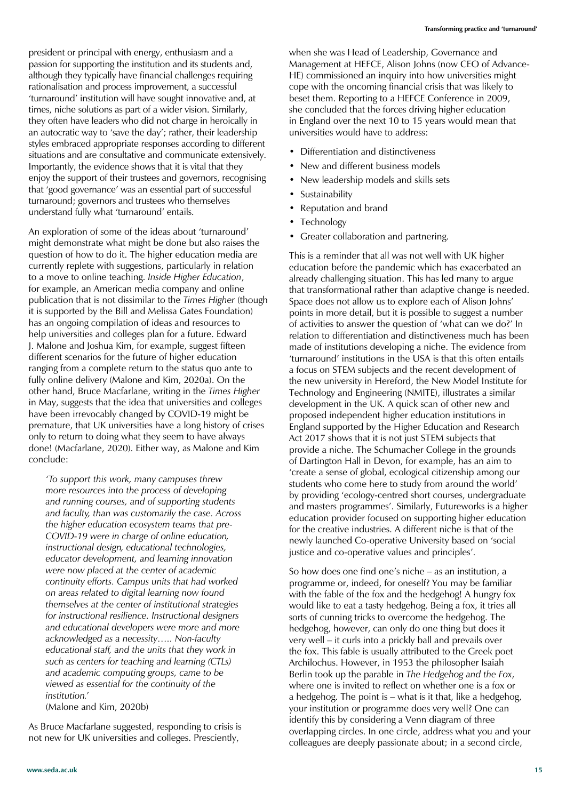president or principal with energy, enthusiasm and a passion for supporting the institution and its students and, although they typically have financial challenges requiring rationalisation and process improvement, a successful 'turnaround' institution will have sought innovative and, at times, niche solutions as part of a wider vision. Similarly, they often have leaders who did not charge in heroically in an autocratic way to 'save the day'; rather, their leadership styles embraced appropriate responses according to different situations and are consultative and communicate extensively. Importantly, the evidence shows that it is vital that they enjoy the support of their trustees and governors, recognising that 'good governance' was an essential part of successful turnaround; governors and trustees who themselves understand fully what 'turnaround' entails.

An exploration of some of the ideas about 'turnaround' might demonstrate what might be done but also raises the question of how to do it. The higher education media are currently replete with suggestions, particularly in relation to a move to online teaching. *Inside Higher Education*, for example, an American media company and online publication that is not dissimilar to the *Times Higher* (though it is supported by the Bill and Melissa Gates Foundation) has an ongoing compilation of ideas and resources to help universities and colleges plan for a future. Edward J. Malone and Joshua Kim, for example, suggest fifteen different scenarios for the future of higher education ranging from a complete return to the status quo ante to fully online delivery (Malone and Kim, 2020a). On the other hand, Bruce Macfarlane, writing in the *Times Higher* in May, suggests that the idea that universities and colleges have been irrevocably changed by COVID-19 might be premature, that UK universities have a long history of crises only to return to doing what they seem to have always done! (Macfarlane, 2020). Either way, as Malone and Kim conclude:

*'To support this work, many campuses threw more resources into the process of developing and running courses, and of supporting students and faculty, than was customarily the case. Across the higher education ecosystem teams that pre-COVID-19 were in charge of online education, instructional design, educational technologies, educator development, and learning innovation were now placed at the center of academic continuity efforts. Campus units that had worked on areas related to digital learning now found themselves at the center of institutional strategies for instructional resilience. Instructional designers and educational developers were more and more acknowledged as a necessity….. Non-faculty educational staff, and the units that they work in such as centers for teaching and learning (CTLs) and academic computing groups, came to be viewed as essential for the continuity of the institution.'* 

(Malone and Kim, 2020b)

As Bruce Macfarlane suggested, responding to crisis is not new for UK universities and colleges. Presciently,

**www.seda.ac.uk 15**

when she was Head of Leadership, Governance and Management at HEFCE, Alison Johns (now CEO of Advance-HE) commissioned an inquiry into how universities might cope with the oncoming financial crisis that was likely to beset them. Reporting to a HEFCE Conference in 2009, she concluded that the forces driving higher education in England over the next 10 to 15 years would mean that universities would have to address:

- Differentiation and distinctiveness
- New and different business models
- New leadership models and skills sets
- **Sustainability**
- Reputation and brand
- **Technology**
- Greater collaboration and partnering.

This is a reminder that all was not well with UK higher education before the pandemic which has exacerbated an already challenging situation. This has led many to argue that transformational rather than adaptive change is needed. Space does not allow us to explore each of Alison Johns' points in more detail, but it is possible to suggest a number of activities to answer the question of 'what can we do?' In relation to differentiation and distinctiveness much has been made of institutions developing a niche. The evidence from 'turnaround' institutions in the USA is that this often entails a focus on STEM subjects and the recent development of the new university in Hereford, the New Model Institute for Technology and Engineering (NMITE), illustrates a similar development in the UK. A quick scan of other new and proposed independent higher education institutions in England supported by the Higher Education and Research Act 2017 shows that it is not just STEM subjects that provide a niche. The Schumacher College in the grounds of Dartington Hall in Devon, for example, has an aim to 'create a sense of global, ecological citizenship among our students who come here to study from around the world' by providing 'ecology-centred short courses, undergraduate and masters programmes'. Similarly, Futureworks is a higher education provider focused on supporting higher education for the creative industries. A different niche is that of the newly launched Co-operative University based on 'social justice and co-operative values and principles'.

So how does one find one's niche  $-$  as an institution, a programme or, indeed, for oneself? You may be familiar with the fable of the fox and the hedgehog! A hungry fox would like to eat a tasty hedgehog. Being a fox, it tries all sorts of cunning tricks to overcome the hedgehog. The hedgehog, however, can only do one thing but does it very well - it curls into a prickly ball and prevails over the fox. This fable is usually attributed to the Greek poet Archilochus. However, in 1953 the philosopher Isaiah Berlin took up the parable in *The Hedgehog and the Fox*, where one is invited to reflect on whether one is a fox or a hedgehog. The point is  $-$  what is it that, like a hedgehog, your institution or programme does very well? One can identify this by considering a Venn diagram of three overlapping circles. In one circle, address what you and your colleagues are deeply passionate about; in a second circle,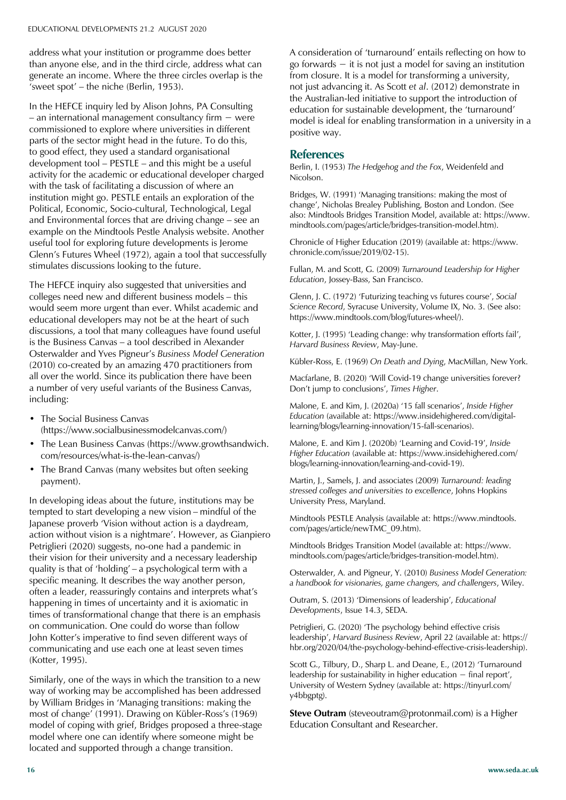address what your institution or programme does better than anyone else, and in the third circle, address what can generate an income. Where the three circles overlap is the 'sweet spot'  $-$  the niche (Berlin, 1953).

In the HEFCE inquiry led by Alison Johns, PA Consulting - an international management consultancy firm  $-$  were commissioned to explore where universities in different parts of the sector might head in the future. To do this, to good effect, they used a standard organisational development tool  $-$  PESTLE  $-$  and this might be a useful activity for the academic or educational developer charged with the task of facilitating a discussion of where an institution might go. PESTLE entails an exploration of the Political, Economic, Socio-cultural, Technological, Legal and Environmental forces that are driving change  $-$  see an example on the Mindtools Pestle Analysis website. Another useful tool for exploring future developments is Jerome Glenn's Futures Wheel (1972), again a tool that successfully stimulates discussions looking to the future.

The HEFCE inquiry also suggested that universities and colleges need new and different business models  $-$  this would seem more urgent than ever. Whilst academic and educational developers may not be at the heart of such discussions, a tool that many colleagues have found useful is the Business Canvas - a tool described in Alexander **Osterwalder and Yves Pigneur's Business Model Generation** (2010) co-created by an amazing 470 practitioners from all over the world. Since its publication there have been a number of very useful variants of the Business Canvas, including:

- The Social Business Canvas (https://www.socialbusinessmodelcanvas.com/)
- The Lean Business Canvas (https://www.growthsandwich. com/resources/what-is-the-lean-canvas/)
- The Brand Canvas (many websites but often seeking payment).

In developing ideas about the future, institutions may be tempted to start developing a new vision – mindful of the Japanese proverb 'Vision without action is a daydream, action without vision is a nightmare'. However, as Gianpiero Petriglieri (2020) suggests, no-one had a pandemic in their vision for their university and a necessary leadership quality is that of 'holding'  $-$  a psychological term with a specific meaning. It describes the way another person, often a leader, reassuringly contains and interprets what's happening in times of uncertainty and it is axiomatic in times of transformational change that there is an emphasis on communication. One could do worse than follow John Kotter's imperative to find seven different ways of communicating and use each one at least seven times (Kotter, 1995).

Similarly, one of the ways in which the transition to a new way of working may be accomplished has been addressed by William Bridges in 'Managing transitions: making the most of change' (1991). Drawing on Kübler-Ross's (1969) model of coping with grief, Bridges proposed a three-stage model where one can identify where someone might be located and supported through a change transition.

A consideration of 'turnaround' entails reflecting on how to go forwards  $-$  it is not just a model for saving an institution from closure. It is a model for transforming a university, not just advancing it. As Scott *et al*. (2012) demonstrate in the Australian-led initiative to support the introduction of education for sustainable development, the 'turnaround' model is ideal for enabling transformation in a university in a positive way.

#### **References**

Berlin, I. (1953) *The Hedgehog and the Fox*, Weidenfeld and Nicolson.

Bridges, W. (1991) 'Managing transitions: making the most of change', Nicholas Brealey Publishing, Boston and London. (See also: Mindtools Bridges Transition Model, available at: https://www. mindtools.com/pages/article/bridges-transition-model.htm).

Chronicle of Higher Education (2019) (available at: https://www. chronicle.com/issue/2019/02-15).

Fullan, M. and Scott, G. (2009) *Turnaround Leadership for Higher Education*, Jossey-Bass, San Francisco.

Glenn, J. C. (1972) 'Futurizing teaching vs futures course', Social *Science Record*, Syracuse University, Volume IX, No. 3. (See also: https://www.mindtools.com/blog/futures-wheel/).

Kotter, J. (1995) 'Leading change: why transformation efforts fail', *Harvard Business Review*, May-June.

Kübler-Ross, E. (1969) On Death and Dying, MacMillan, New York.

Macfarlane, B. (2020) 'Will Covid-19 change universities forever? Don't jump to conclusions', Times Higher.

Malone, E. and Kim, J. (2020a) '15 fall scenarios', Inside Higher *Education* (available at: https://www.insidehighered.com/digitallearning/blogs/learning-innovation/15-fall-scenarios).

Malone, E. and Kim J. (2020b) 'Learning and Covid-19', *Inside Higher Education* (available at: https://www.insidehighered.com/ blogs/learning-innovation/learning-and-covid-19).

Martin, J., Samels, J. and associates (2009) *Turnaround: leading stressed colleges and universities to excellence*, Johns Hopkins University Press, Maryland.

Mindtools PESTLE Analysis (available at: https://www.mindtools. com/pages/article/newTMC\_09.htm).

Mindtools Bridges Transition Model (available at: https://www. mindtools.com/pages/article/bridges-transition-model.htm).

Osterwalder, A. and Pigneur, Y. (2010) *Business Model Generation: a handbook for visionaries, game changers, and challengers*, Wiley.

Outram, S. (2013) 'Dimensions of leadership', *Educational Developments*, Issue 14.3, SEDA.

Petriglieri, G. (2020) 'The psychology behind effective crisis leadership', Harvard Business Review, April 22 (available at: https:// hbr.org/2020/04/the-psychology-behind-effective-crisis-leadership).

Scott G., Tilbury, D., Sharp L. and Deane, E., (2012) 'Turnaround leadership for sustainability in higher education  $-$  final report'. University of Western Sydney (available at: https://tinyurl.com/ y4bbgptg).

**Steve Outram** (steveoutram@protonmail.com) is a Higher Education Consultant and Researcher.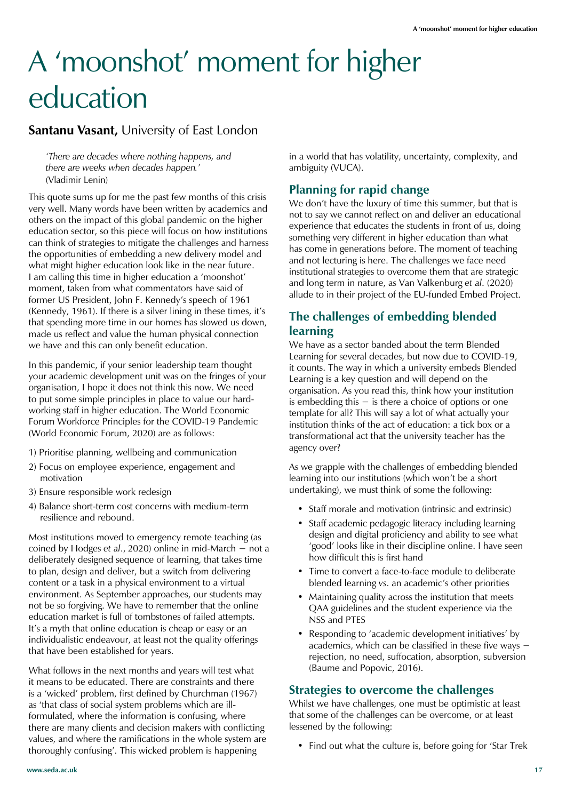# A 'moonshot' moment for higher education

#### **Santanu Vasant,** University of East London

*'There are decades where nothing happens, and there are weeks when decades happen.'*  (Vladimir Lenin)

This quote sums up for me the past few months of this crisis very well. Many words have been written by academics and others on the impact of this global pandemic on the higher education sector, so this piece will focus on how institutions can think of strategies to mitigate the challenges and harness the opportunities of embedding a new delivery model and what might higher education look like in the near future. I am calling this time in higher education a 'moonshot' moment, taken from what commentators have said of former US President, John F. Kennedy's speech of 1961 (Kennedy, 1961). If there is a silver lining in these times, it's that spending more time in our homes has slowed us down, made us reflect and value the human physical connection we have and this can only benefit education.

In this pandemic, if your senior leadership team thought your academic development unit was on the fringes of your organisation, I hope it does not think this now. We need to put some simple principles in place to value our hardworking staff in higher education. The World Economic Forum Workforce Principles for the COVID-19 Pandemic (World Economic Forum, 2020) are as follows:

- 1) Prioritise planning, wellbeing and communication
- 2) Focus on employee experience, engagement and motivation
- 3) Ensure responsible work redesign
- 4) Balance short-term cost concerns with medium-term resilience and rebound.

Most institutions moved to emergency remote teaching (as coined by Hodges *et al.*, 2020) online in mid-March  $-$  not a deliberately designed sequence of learning, that takes time to plan, design and deliver, but a switch from delivering content or a task in a physical environment to a virtual environment. As September approaches, our students may not be so forgiving. We have to remember that the online education market is full of tombstones of failed attempts. It's a myth that online education is cheap or easy or an individualistic endeavour, at least not the quality offerings that have been established for years.

What follows in the next months and years will test what it means to be educated. There are constraints and there is a 'wicked' problem, first defined by Churchman (1967) as 'that class of social system problems which are illformulated, where the information is confusing, where there are many clients and decision makers with conflicting values, and where the ramifications in the whole system are thoroughly confusing'. This wicked problem is happening

in a world that has volatility, uncertainty, complexity, and ambiguity (VUCA).

#### **Planning for rapid change**

We don't have the luxury of time this summer, but that is not to say we cannot reflect on and deliver an educational experience that educates the students in front of us, doing something very different in higher education than what has come in generations before. The moment of teaching and not lecturing is here. The challenges we face need institutional strategies to overcome them that are strategic and long term in nature, as Van Valkenburg *et al*. (2020) allude to in their project of the EU-funded Embed Project.

#### **The challenges of embedding blended learning**

We have as a sector banded about the term Blended Learning for several decades, but now due to COVID-19, it counts. The way in which a university embeds Blended Learning is a key question and will depend on the organisation. As you read this, think how your institution is embedding this  $-$  is there a choice of options or one template for all? This will say a lot of what actually your institution thinks of the act of education: a tick box or a transformational act that the university teacher has the agency over?

As we grapple with the challenges of embedding blended learning into our institutions (which won't be a short undertaking), we must think of some the following:

- Staff morale and motivation (intrinsic and extrinsic)
- Staff academic pedagogic literacy including learning design and digital proficiency and ability to see what 'good' looks like in their discipline online. I have seen how difficult this is first hand
- Time to convert a face-to-face module to deliberate blended learning *vs*. an academic's other priorities
- Maintaining quality across the institution that meets QAA guidelines and the student experience via the NSS and PTES
- Responding to 'academic development initiatives' by academics, which can be classified in these five ways  $$ rejection, no need, suffocation, absorption, subversion (Baume and Popovic, 2016).

#### **Strategies to overcome the challenges**

Whilst we have challenges, one must be optimistic at least that some of the challenges can be overcome, or at least lessened by the following:

• Find out what the culture is, before going for 'Star Trek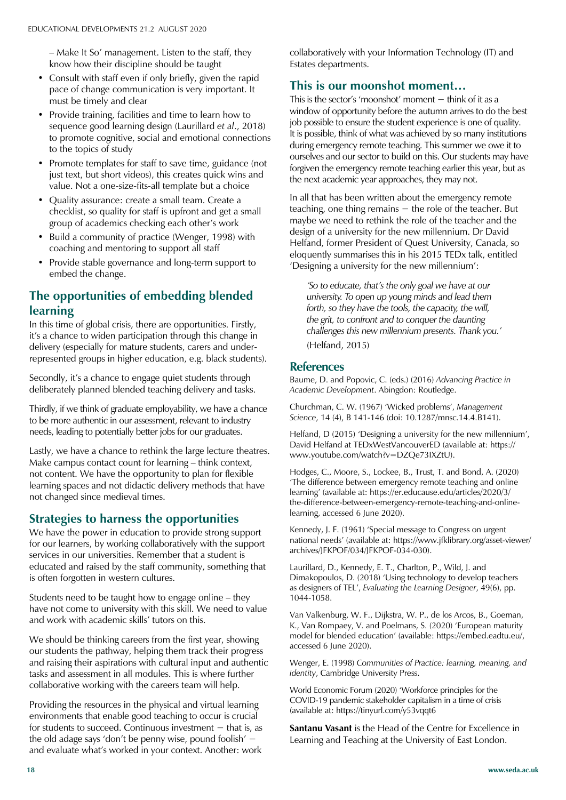$-$  Make It So' management. Listen to the staff, they know how their discipline should be taught

- Consult with staff even if only briefly, given the rapid pace of change communication is very important. It must be timely and clear
- Provide training, facilities and time to learn how to sequence good learning design (Laurillard *et al*., 2018) to promote cognitive, social and emotional connections to the topics of study
- Promote templates for staff to save time, guidance (not just text, but short videos), this creates quick wins and value. Not a one-size-fits-all template but a choice
- Quality assurance: create a small team. Create a checklist, so quality for staff is upfront and get a small group of academics checking each other's work
- Build a community of practice (Wenger, 1998) with coaching and mentoring to support all staff
- Provide stable governance and long-term support to embed the change.

#### **The opportunities of embedding blended learning**

In this time of global crisis, there are opportunities. Firstly, it's a chance to widen participation through this change in delivery (especially for mature students, carers and underrepresented groups in higher education, e.g. black students).

Secondly, it's a chance to engage quiet students through deliberately planned blended teaching delivery and tasks.

Thirdly, if we think of graduate employability, we have a chance to be more authentic in our assessment, relevant to industry needs, leading to potentially better jobs for our graduates.

Lastly, we have a chance to rethink the large lecture theatres. Make campus contact count for learning  $-$  think context, not content. We have the opportunity to plan for flexible learning spaces and not didactic delivery methods that have not changed since medieval times.

#### **Strategies to harness the opportunities**

We have the power in education to provide strong support for our learners, by working collaboratively with the support services in our universities. Remember that a student is educated and raised by the staff community, something that is often forgotten in western cultures.

Students need to be taught how to engage online  $-$  they have not come to university with this skill. We need to value and work with academic skills' tutors on this.

We should be thinking careers from the first year, showing our students the pathway, helping them track their progress and raising their aspirations with cultural input and authentic tasks and assessment in all modules. This is where further collaborative working with the careers team will help.

Providing the resources in the physical and virtual learning environments that enable good teaching to occur is crucial for students to succeed. Continuous investment  $-$  that is, as the old adage says 'don't be penny wise, pound foolish'  $$ and evaluate what's worked in your context. Another: work

collaboratively with your Information Technology (IT) and Estates departments.

#### **This is our moonshot moment…**

This is the sector's 'moonshot' moment  $-$  think of it as a window of opportunity before the autumn arrives to do the best job possible to ensure the student experience is one of quality. It is possible, think of what was achieved by so many institutions during emergency remote teaching. This summer we owe it to ourselves and our sector to build on this. Our students may have forgiven the emergency remote teaching earlier this year, but as the next academic year approaches, they may not.

In all that has been written about the emergency remote teaching, one thing remains  $-$  the role of the teacher. But maybe we need to rethink the role of the teacher and the design of a university for the new millennium. Dr David Helfand, former President of Quest University, Canada, so eloquently summarises this in his 2015 TEDx talk, entitled 'Designing a university for the new millennium':

*'So to educate, that's the only goal we have at our university. To open up young minds and lead them forth, so they have the tools, the capacity, the will, the grit, to confront and to conquer the daunting challenges this new millennium presents. Thank you.'*  (Helfand, 2015)

#### **References**

Baume, D. and Popovic, C. (eds.) (2016) *Advancing Practice in Academic Development*. Abingdon: Routledge.

Churchman, C. W. (1967) 'Wicked problems', Management *Science*, 14 (4), B 141-146 (doi: 10.1287/mnsc.14.4.B141).

Helfand,  $D$  (2015) 'Designing a university for the new millennium', David Helfand at TEDxWestVancouverED (available at: https:// www.youtube.com/watch?v=DZQe73IXZtU).

Hodges, C., Moore, S., Lockee, B., Trust, T. and Bond, A. (2020) 'The difference between emergency remote teaching and online learning' (available at: https://er.educause.edu/articles/2020/3/ the-difference-between-emergency-remote-teaching-and-onlinelearning, accessed 6 June 2020).

Kennedy, J. F. (1961) 'Special message to Congress on urgent national needs' (available at: https://www.jfklibrary.org/asset-viewer/ archives/JFKPOF/034/JFKPOF-034-030).

Laurillard, D., Kennedy, E. T., Charlton, P., Wild, J. and Dimakopoulos, D. (2018) 'Using technology to develop teachers as designers of TEL', *Evaluating the Learning Designer*, 49(6), pp. 1044-1058.

Van Valkenburg, W. F., Dijkstra, W. P., de los Arcos, B., Goeman, K., Van Rompaey, V. and Poelmans, S. (2020) 'European maturity model for blended education' (available: https://embed.eadtu.eu/, accessed 6 June 2020).

Wenger, E. (1998) *Communities of Practice: learning, meaning, and identity*, Cambridge University Press.

World Economic Forum (2020) 'Workforce principles for the COVID-19 pandemic stakeholder capitalism in a time of crisis (available at: https://tinyurl.com/y53vqqt6

**Santanu Vasant** is the Head of the Centre for Excellence in Learning and Teaching at the University of East London.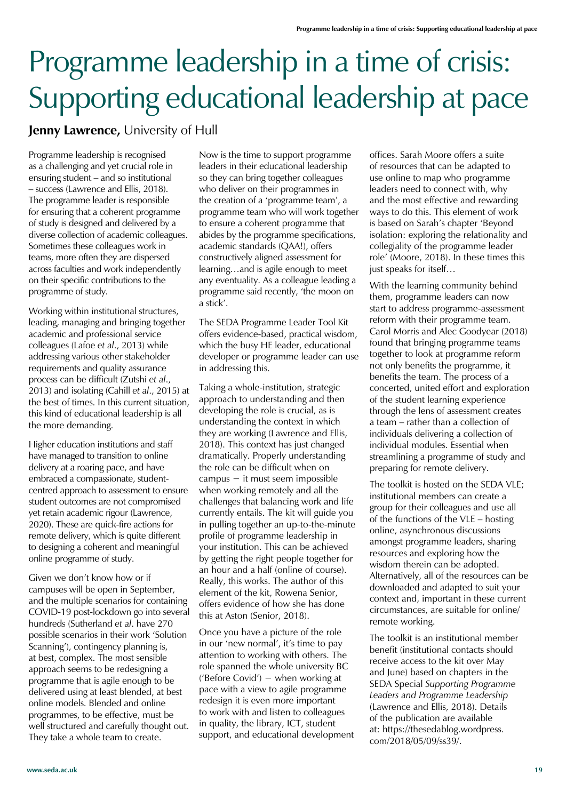# Programme leadership in a time of crisis: Supporting educational leadership at pace

**Jenny Lawrence,** University of Hull

Programme leadership is recognised as a challenging and yet crucial role in ensuring student  $-$  and so institutional - success (Lawrence and Ellis, 2018). The programme leader is responsible for ensuring that a coherent programme of study is designed and delivered by a diverse collection of academic colleagues. Sometimes these colleagues work in teams, more often they are dispersed across faculties and work independently on their specific contributions to the programme of study.

Working within institutional structures, leading, managing and bringing together academic and professional service colleagues (Lafoe *et al*., 2013) while addressing various other stakeholder requirements and quality assurance process can be difficult (Zutshi *et al*., 2013) and isolating (Cahill *et al*., 2015) at the best of times. In this current situation, this kind of educational leadership is all the more demanding.

Higher education institutions and staff have managed to transition to online delivery at a roaring pace, and have embraced a compassionate, studentcentred approach to assessment to ensure student outcomes are not compromised yet retain academic rigour (Lawrence, 2020). These are quick-fire actions for remote delivery, which is quite different to designing a coherent and meaningful online programme of study.

Given we don't know how or if campuses will be open in September, and the multiple scenarios for containing COVID-19 post-lockdown go into several hundreds (Sutherland *et al*. have 270 possible scenarios in their work 'Solution Scanning'), contingency planning is, at best, complex. The most sensible approach seems to be redesigning a programme that is agile enough to be delivered using at least blended, at best online models. Blended and online programmes, to be effective, must be well structured and carefully thought out. They take a whole team to create.

Now is the time to support programme leaders in their educational leadership so they can bring together colleagues who deliver on their programmes in the creation of a 'programme team', a programme team who will work together to ensure a coherent programme that abides by the programme specifications, academic standards (QAA!), offers constructively aligned assessment for learning...and is agile enough to meet any eventuality. As a colleague leading a programme said recently, 'the moon on a stick'.

The SEDA Programme Leader Tool Kit offers evidence-based, practical wisdom, which the busy HE leader, educational developer or programme leader can use in addressing this.

Taking a whole-institution, strategic approach to understanding and then developing the role is crucial, as is understanding the context in which they are working (Lawrence and Ellis, 2018). This context has just changed dramatically. Properly understanding the role can be difficult when on campus  $-$  it must seem impossible when working remotely and all the challenges that balancing work and life currently entails. The kit will guide you in pulling together an up-to-the-minute profile of programme leadership in your institution. This can be achieved by getting the right people together for an hour and a half (online of course). Really, this works. The author of this element of the kit, Rowena Senior, offers evidence of how she has done this at Aston (Senior, 2018).

Once you have a picture of the role in our 'new normal', it's time to pay attention to working with others. The role spanned the whole university BC ('Before Covid') – when working at pace with a view to agile programme redesign it is even more important to work with and listen to colleagues in quality, the library, ICT, student support, and educational development offices. Sarah Moore offers a suite of resources that can be adapted to use online to map who programme leaders need to connect with, why and the most effective and rewarding ways to do this. This element of work is based on Sarah's chapter 'Beyond isolation: exploring the relationality and collegiality of the programme leader role' (Moore, 2018). In these times this just speaks for itself...

With the learning community behind them, programme leaders can now start to address programme-assessment reform with their programme team. Carol Morris and Alec Goodyear (2018) found that bringing programme teams together to look at programme reform not only benefits the programme, it benefits the team. The process of a concerted, united effort and exploration of the student learning experience through the lens of assessment creates a team  $-$  rather than a collection of individuals delivering a collection of individual modules. Essential when streamlining a programme of study and preparing for remote delivery.

The toolkit is hosted on the SEDA VLE; institutional members can create a group for their colleagues and use all of the functions of the  $VLE$  – hosting online, asynchronous discussions amongst programme leaders, sharing resources and exploring how the wisdom therein can be adopted. Alternatively, all of the resources can be downloaded and adapted to suit your context and, important in these current circumstances, are suitable for online/ remote working.

The toolkit is an institutional member benefit (institutional contacts should receive access to the kit over May and June) based on chapters in the SEDA Special *Supporting Programme Leaders and Programme Leadership* (Lawrence and Ellis, 2018). Details of the publication are available at: https://thesedablog.wordpress. com/2018/05/09/ss39/.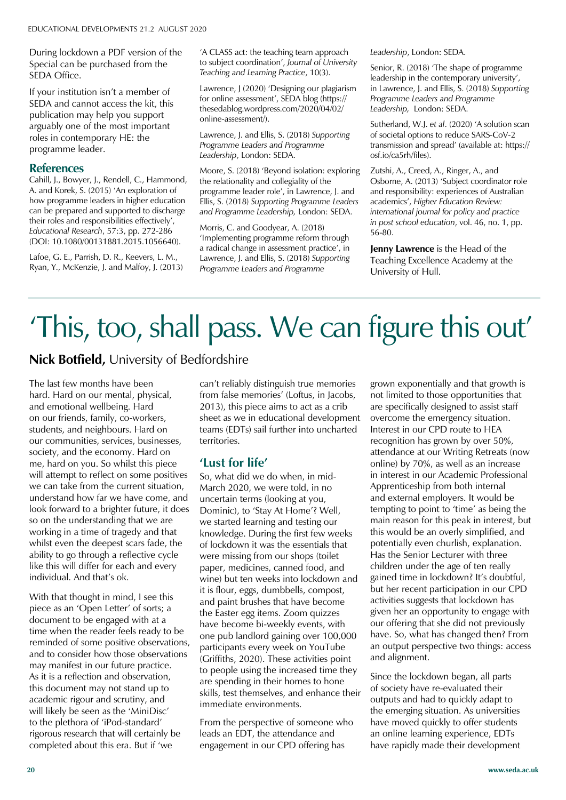During lockdown a PDF version of the Special can be purchased from the SEDA Office.

If your institution isn't a member of SEDA and cannot access the kit, this publication may help you support arguably one of the most important roles in contemporary HE: the programme leader.

#### **References**

Cahill, J., Bowyer, J., Rendell, C., Hammond, A. and Korek, S. (2015) 'An exploration of how programme leaders in higher education can be prepared and supported to discharge their roles and responsibilities effectively', *Educational Research*, 57:3, pp. 272-286 (DOI: 10.1080/00131881.2015.1056640).

Lafoe, G. E., Parrish, D. R., Keevers, L. M., Ryan, Y., McKenzie, J. and Malfoy, J. (2013) 'A CLASS act: the teaching team approach to subject coordination', Journal of University *Teaching and Learning Practice*, 10(3).

Lawrence, J (2020) 'Designing our plagiarism for online assessment', SEDA blog (https:// thesedablog.wordpress.com/2020/04/02/ online-assessment/).

Lawrence, J. and Ellis, S. (2018) *Supporting Programme Leaders and Programme Leadership*, London: SEDA.

Moore, S. (2018) 'Beyond isolation: exploring the relationality and collegiality of the programme leader role', in Lawrence, J. and Ellis, S. (2018) *Supporting Programme Leaders and Programme Leadership,* London: SEDA.

Morris, C. and Goodyear, A. (2018) 'Implementing programme reform through a radical change in assessment practice', in Lawrence, J. and Ellis, S. (2018) *Supporting Programme Leaders and Programme* 

*Leadership*, London: SEDA.

Senior, R. (2018) 'The shape of programme leadership in the contemporary university', in Lawrence, J. and Ellis, S. (2018) *Supporting Programme Leaders and Programme Leadership,* London: SEDA.

Sutherland, W.J. et al. (2020) 'A solution scan of societal options to reduce SARS-CoV-2 transmission and spread' (available at: https:// osf.io/ca5rh/files).

Zutshi, A., Creed, A., Ringer, A., and Osborne, A. (2013) 'Subject coordinator role and responsibility: experiences of Australian academics', Higher Education Review: *international journal for policy and practice in post school education*, vol. 46, no. 1, pp. 56-80.

**Jenny Lawrence** is the Head of the Teaching Excellence Academy at the University of Hull.

# This, too, shall pass. We can figure this out'

#### **Nick Botfield,** University of Bedfordshire

The last few months have been hard. Hard on our mental, physical, and emotional wellbeing. Hard on our friends, family, co-workers, students, and neighbours. Hard on our communities, services, businesses, society, and the economy. Hard on me, hard on you. So whilst this piece will attempt to reflect on some positives we can take from the current situation, understand how far we have come, and look forward to a brighter future, it does so on the understanding that we are working in a time of tragedy and that whilst even the deepest scars fade, the ability to go through a reflective cycle like this will differ for each and every individual. And that's ok.

With that thought in mind, I see this piece as an 'Open Letter' of sorts; a document to be engaged with at a time when the reader feels ready to be reminded of some positive observations, and to consider how those observations may manifest in our future practice. As it is a reflection and observation, this document may not stand up to academic rigour and scrutiny, and will likely be seen as the 'MiniDisc' to the plethora of 'iPod-standard' rigorous research that will certainly be completed about this era. But if 'we

can't reliably distinguish true memories from false memories' (Loftus, in Jacobs, 2013), this piece aims to act as a crib sheet as we in educational development teams (EDTs) sail further into uncharted territories.

#### **'Lust for life'**

So, what did we do when, in mid-March 2020, we were told, in no uncertain terms (looking at you, Dominic), to 'Stay At Home'? Well, we started learning and testing our knowledge. During the first few weeks of lockdown it was the essentials that were missing from our shops (toilet paper, medicines, canned food, and wine) but ten weeks into lockdown and it is flour, eggs, dumbbells, compost, and paint brushes that have become the Easter egg items. Zoom quizzes have become bi-weekly events, with one pub landlord gaining over 100,000 participants every week on YouTube (Griffiths, 2020). These activities point to people using the increased time they are spending in their homes to hone skills, test themselves, and enhance their immediate environments.

From the perspective of someone who leads an EDT, the attendance and engagement in our CPD offering has

grown exponentially and that growth is not limited to those opportunities that are specifically designed to assist staff overcome the emergency situation. Interest in our CPD route to HEA recognition has grown by over 50%, attendance at our Writing Retreats (now online) by 70%, as well as an increase in interest in our Academic Professional Apprenticeship from both internal and external employers. It would be tempting to point to 'time' as being the main reason for this peak in interest, but this would be an overly simplified, and potentially even churlish, explanation. Has the Senior Lecturer with three children under the age of ten really gained time in lockdown? It's doubtful, but her recent participation in our CPD activities suggests that lockdown has given her an opportunity to engage with our offering that she did not previously have. So, what has changed then? From an output perspective two things: access and alignment.

Since the lockdown began, all parts of society have re-evaluated their outputs and had to quickly adapt to the emerging situation. As universities have moved quickly to offer students an online learning experience, EDTs have rapidly made their development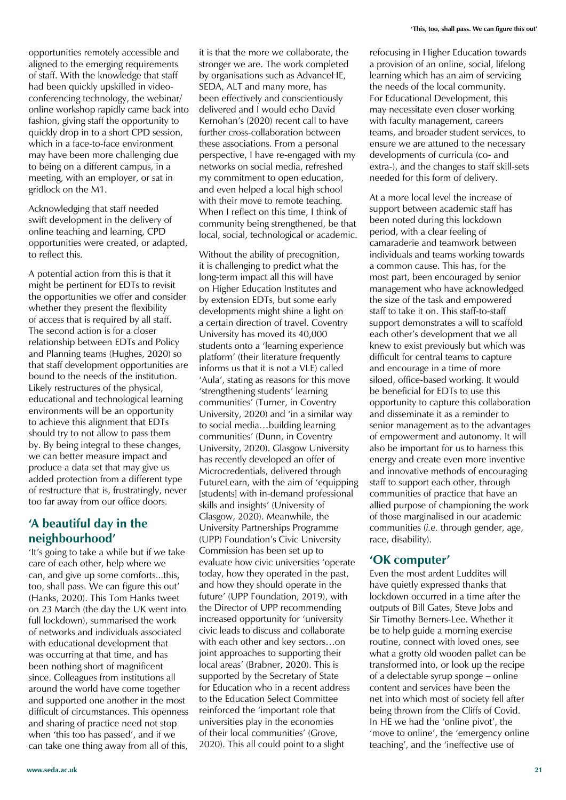opportunities remotely accessible and aligned to the emerging requirements of staff. With the knowledge that staff had been quickly upskilled in videoconferencing technology, the webinar/ online workshop rapidly came back into fashion, giving staff the opportunity to quickly drop in to a short CPD session, which in a face-to-face environment may have been more challenging due to being on a different campus, in a meeting, with an employer, or sat in gridlock on the M1.

Acknowledging that staff needed swift development in the delivery of online teaching and learning, CPD opportunities were created, or adapted, to reflect this.

A potential action from this is that it might be pertinent for EDTs to revisit the opportunities we offer and consider whether they present the flexibility of access that is required by all staff. The second action is for a closer relationship between EDTs and Policy and Planning teams (Hughes, 2020) so that staff development opportunities are bound to the needs of the institution. Likely restructures of the physical, educational and technological learning environments will be an opportunity to achieve this alignment that EDTs should try to not allow to pass them by. By being integral to these changes, we can better measure impact and produce a data set that may give us added protection from a different type of restructure that is, frustratingly, never too far away from our office doors.

#### **'A beautiful day in the neighbourhood'**

'It's going to take a while but if we take care of each other, help where we can, and give up some comforts...this, too, shall pass. We can figure this out' (Hanks, 2020). This Tom Hanks tweet on 23 March (the day the UK went into full lockdown), summarised the work of networks and individuals associated with educational development that was occurring at that time, and has been nothing short of magnificent since. Colleagues from institutions all around the world have come together and supported one another in the most difficult of circumstances. This openness and sharing of practice need not stop when 'this too has passed', and if we can take one thing away from all of this,

it is that the more we collaborate, the stronger we are. The work completed by organisations such as AdvanceHE, SEDA, ALT and many more, has been effectively and conscientiously delivered and I would echo David Kernohan's (2020) recent call to have further cross-collaboration between these associations. From a personal perspective, I have re-engaged with my networks on social media, refreshed my commitment to open education, and even helped a local high school with their move to remote teaching. When I reflect on this time, I think of community being strengthened, be that local, social, technological or academic.

Without the ability of precognition, it is challenging to predict what the long-term impact all this will have on Higher Education Institutes and by extension EDTs, but some early developments might shine a light on a certain direction of travel. Coventry University has moved its 40,000 students onto a 'learning experience platform' (their literature frequently informs us that it is not a VLE) called 'Aula', stating as reasons for this move 'strengthening students' learning communities' (Turner, in Coventry University, 2020) and 'in a similar way to social media...building learning communities' (Dunn, in Coventry University, 2020). Glasgow University has recently developed an offer of Microcredentials, delivered through FutureLearn, with the aim of 'equipping [students] with in-demand professional skills and insights' (University of Glasgow, 2020). Meanwhile, the University Partnerships Programme (UPP) Foundation's Civic University Commission has been set up to evaluate how civic universities 'operate today, how they operated in the past, and how they should operate in the future' (UPP Foundation, 2019), with the Director of UPP recommending increased opportunity for 'university civic leads to discuss and collaborate with each other and key sectors...on joint approaches to supporting their local areas' (Brabner, 2020). This is supported by the Secretary of State for Education who in a recent address to the Education Select Committee reinforced the 'important role that universities play in the economies of their local communities' (Grove, 2020). This all could point to a slight

refocusing in Higher Education towards a provision of an online, social, lifelong learning which has an aim of servicing the needs of the local community. For Educational Development, this may necessitate even closer working with faculty management, careers teams, and broader student services, to ensure we are attuned to the necessary developments of curricula (co- and extra-), and the changes to staff skill-sets needed for this form of delivery.

At a more local level the increase of support between academic staff has been noted during this lockdown period, with a clear feeling of camaraderie and teamwork between individuals and teams working towards a common cause. This has, for the most part, been encouraged by senior management who have acknowledged the size of the task and empowered staff to take it on. This staff-to-staff support demonstrates a will to scaffold each other's development that we all knew to exist previously but which was difficult for central teams to capture and encourage in a time of more siloed, office-based working. It would be beneficial for EDTs to use this opportunity to capture this collaboration and disseminate it as a reminder to senior management as to the advantages of empowerment and autonomy. It will also be important for us to harness this energy and create even more inventive and innovative methods of encouraging staff to support each other, through communities of practice that have an allied purpose of championing the work of those marginalised in our academic communities (*i.e.* through gender, age, race, disability).

#### **'OK computer'**

Even the most ardent Luddites will have quietly expressed thanks that lockdown occurred in a time after the outputs of Bill Gates, Steve Jobs and Sir Timothy Berners-Lee. Whether it be to help guide a morning exercise routine, connect with loved ones, see what a grotty old wooden pallet can be transformed into, or look up the recipe of a delectable syrup sponge – online content and services have been the net into which most of society fell after being thrown from the Cliffs of Covid. In HE we had the 'online pivot', the 'move to online', the 'emergency online teaching', and the 'ineffective use of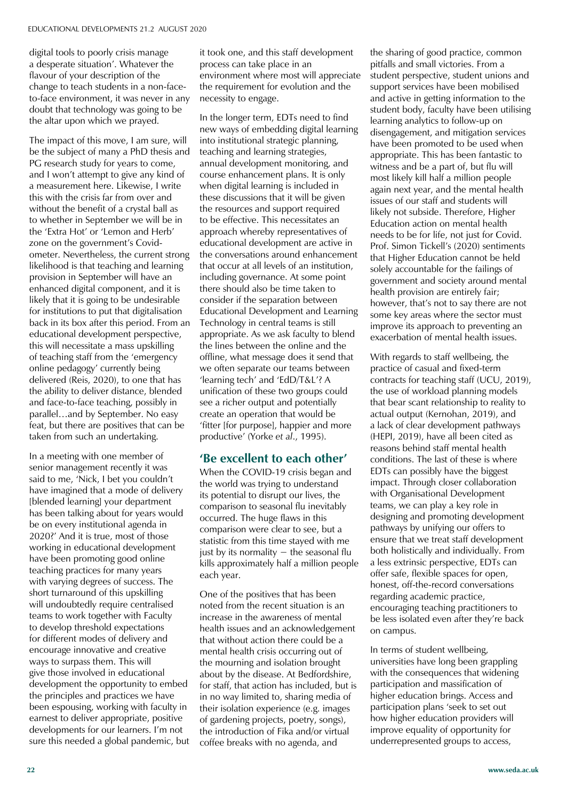digital tools to poorly crisis manage a desperate situation'. Whatever the flavour of your description of the change to teach students in a non-faceto-face environment, it was never in any doubt that technology was going to be the altar upon which we prayed.

The impact of this move, I am sure, will be the subject of many a PhD thesis and PG research study for years to come, and I won't attempt to give any kind of a measurement here. Likewise, I write this with the crisis far from over and without the benefit of a crystal ball as to whether in September we will be in the 'Extra Hot' or 'Lemon and Herb' zone on the government's Covidometer. Nevertheless, the current strong likelihood is that teaching and learning provision in September will have an enhanced digital component, and it is likely that it is going to be undesirable for institutions to put that digitalisation back in its box after this period. From an educational development perspective, this will necessitate a mass upskilling of teaching staff from the 'emergency online pedagogy' currently being delivered (Reis, 2020), to one that has the ability to deliver distance, blended and face-to-face teaching, possibly in parallel...and by September. No easy feat, but there are positives that can be taken from such an undertaking.

In a meeting with one member of senior management recently it was said to me, 'Nick, I bet you couldn't have imagined that a mode of delivery [blended learning] your department has been talking about for years would be on every institutional agenda in 2020?' And it is true, most of those working in educational development have been promoting good online teaching practices for many years with varying degrees of success. The short turnaround of this upskilling will undoubtedly require centralised teams to work together with Faculty to develop threshold expectations for different modes of delivery and encourage innovative and creative ways to surpass them. This will give those involved in educational development the opportunity to embed the principles and practices we have been espousing, working with faculty in earnest to deliver appropriate, positive developments for our learners. I'm not sure this needed a global pandemic, but it took one, and this staff development process can take place in an environment where most will appreciate the requirement for evolution and the necessity to engage.

In the longer term, EDTs need to find new ways of embedding digital learning into institutional strategic planning, teaching and learning strategies, annual development monitoring, and course enhancement plans. It is only when digital learning is included in these discussions that it will be given the resources and support required to be effective. This necessitates an approach whereby representatives of educational development are active in the conversations around enhancement that occur at all levels of an institution, including governance. At some point there should also be time taken to consider if the separation between Educational Development and Learning Technology in central teams is still appropriate. As we ask faculty to blend the lines between the online and the offline, what message does it send that we often separate our teams between 'learning tech' and 'EdD/T&L'? A unification of these two groups could see a richer output and potentially create an operation that would be 'fitter [for purpose], happier and more productive' (Yorke et al., 1995).

#### **'Be excellent to each other'**

When the COVID-19 crisis began and the world was trying to understand its potential to disrupt our lives, the comparison to seasonal flu inevitably occurred. The huge flaws in this comparison were clear to see, but a statistic from this time stayed with me just by its normality  $-$  the seasonal flu kills approximately half a million people each year.

One of the positives that has been noted from the recent situation is an increase in the awareness of mental health issues and an acknowledgement that without action there could be a mental health crisis occurring out of the mourning and isolation brought about by the disease. At Bedfordshire, for staff, that action has included, but is in no way limited to, sharing media of their isolation experience (e.g. images of gardening projects, poetry, songs), the introduction of Fika and/or virtual coffee breaks with no agenda, and

the sharing of good practice, common pitfalls and small victories. From a student perspective, student unions and support services have been mobilised and active in getting information to the student body, faculty have been utilising learning analytics to follow-up on disengagement, and mitigation services have been promoted to be used when appropriate. This has been fantastic to witness and be a part of, but flu will most likely kill half a million people again next year, and the mental health issues of our staff and students will likely not subside. Therefore, Higher Education action on mental health needs to be for life, not just for Covid. Prof. Simon Tickell's (2020) sentiments that Higher Education cannot be held solely accountable for the failings of government and society around mental health provision are entirely fair; however, that's not to say there are not some key areas where the sector must improve its approach to preventing an exacerbation of mental health issues.

With regards to staff wellbeing, the practice of casual and fixed-term contracts for teaching staff (UCU, 2019), the use of workload planning models that bear scant relationship to reality to actual output (Kernohan, 2019), and a lack of clear development pathways (HEPI, 2019), have all been cited as reasons behind staff mental health conditions. The last of these is where EDTs can possibly have the biggest impact. Through closer collaboration with Organisational Development teams, we can play a key role in designing and promoting development pathways by unifying our offers to ensure that we treat staff development both holistically and individually. From a less extrinsic perspective, EDTs can offer safe, flexible spaces for open, honest, off-the-record conversations regarding academic practice, encouraging teaching practitioners to be less isolated even after they're back on campus.

In terms of student wellbeing, universities have long been grappling with the consequences that widening participation and massification of higher education brings. Access and participation plans 'seek to set out how higher education providers will improve equality of opportunity for underrepresented groups to access,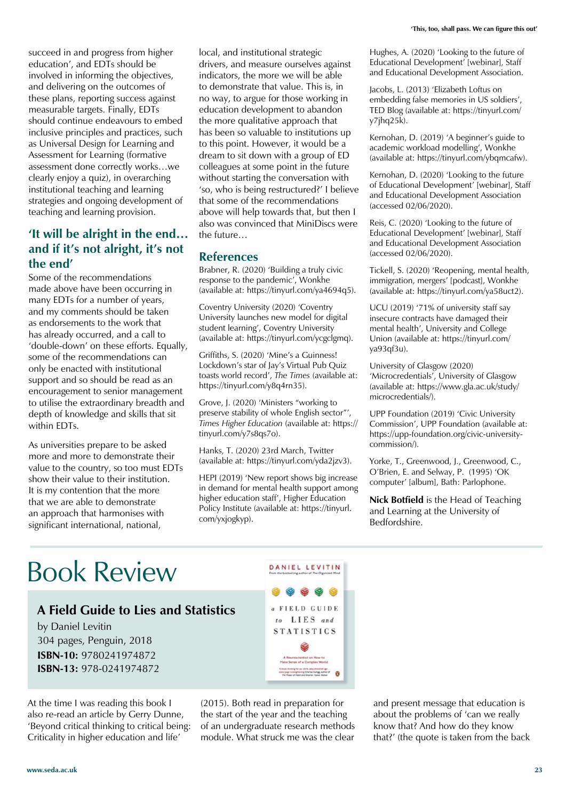succeed in and progress from higher education', and EDTs should be involved in informing the objectives, and delivering on the outcomes of these plans, reporting success against measurable targets. Finally, EDTs should continue endeavours to embed inclusive principles and practices, such as Universal Design for Learning and Assessment for Learning (formative assessment done correctly works...we clearly enjoy a quiz), in overarching institutional teaching and learning strategies and ongoing development of teaching and learning provision.

#### **'It will be alright in the end… and if it's not alright, it's not the end'**

Some of the recommendations made above have been occurring in many EDTs for a number of years, and my comments should be taken as endorsements to the work that has already occurred, and a call to 'double-down' on these efforts. Equally, some of the recommendations can only be enacted with institutional support and so should be read as an encouragement to senior management to utilise the extraordinary breadth and depth of knowledge and skills that sit within EDTs.

As universities prepare to be asked more and more to demonstrate their value to the country, so too must EDTs show their value to their institution. It is my contention that the more that we are able to demonstrate an approach that harmonises with significant international, national,

local, and institutional strategic drivers, and measure ourselves against indicators, the more we will be able to demonstrate that value. This is, in no way, to argue for those working in education development to abandon the more qualitative approach that has been so valuable to institutions up to this point. However, it would be a dream to sit down with a group of ED colleagues at some point in the future without starting the conversation with 'so, who is being restructured?' I believe that some of the recommendations above will help towards that, but then I also was convinced that MiniDiscs were the future $\ldots$ 

#### **References**

Brabner, R. (2020) 'Building a truly civic response to the pandemic', Wonkhe (available at: https://tinyurl.com/ya4694q5).

Coventry University (2020) 'Coventry University launches new model for digital student learning', Coventry University (available at: https://tinyurl.com/ycgclgmq).

Griffiths, S. (2020) 'Mine's a Guinness! Lockdown's star of Jay's Virtual Pub Quiz toasts world record', The Times (available at: https://tinyurl.com/y8q4rn35).

Grove, J. (2020) 'Ministers "working to preserve stability of whole English sector"', *Times Higher Education* (available at: https:// tinyurl.com/y7s8qs7o).

Hanks, T. (2020) 23rd March, Twitter (available at: https://tinyurl.com/yda2jzv3).

HEPI (2019) 'New report shows big increase in demand for mental health support among higher education staff', Higher Education Policy Institute (available at: https://tinyurl. com/yxjogkyp).

DANIEL LEVITIN

a FIELD GUIDE

 $\theta$ 

Hughes, A. (2020) 'Looking to the future of Educational Development' [webinar], Staff and Educational Development Association.

Jacobs, L. (2013) 'Elizabeth Loftus on embedding false memories in US soldiers', TED Blog (available at: https://tinyurl.com/ y7jhq25k).

Kernohan, D. (2019) 'A beginner's guide to academic workload modelling', Wonkhe (available at: https://tinyurl.com/ybqmcafw).

Kernohan, D. (2020) 'Looking to the future of Educational Development' [webinar], Staff and Educational Development Association (accessed 02/06/2020).

Reis, C. (2020) 'Looking to the future of Educational Development' [webinar], Staff and Educational Development Association (accessed 02/06/2020).

Tickell, S. (2020) 'Reopening, mental health, immigration, mergers' [podcast], Wonkhe (available at: https://tinyurl.com/ya58uct2).

UCU (2019) '71% of university staff say insecure contracts have damaged their mental health', University and College Union (available at: https://tinyurl.com/ ya93qf3u).

University of Glasgow (2020) 'Microcredentials'. University of Glasgow (available at: https://www.gla.ac.uk/study/ microcredentials/).

UPP Foundation (2019) 'Civic University Commission', UPP Foundation (available at: https://upp-foundation.org/civic-universitycommission/).

Yorke, T., Greenwood, J., Greenwood, C., O'Brien, E. and Selway, P. (1995) 'OK computer' [album], Bath: Parlophone.

**Nick Botfield** is the Head of Teaching and Learning at the University of Bedfordshire.

### Book Review

#### **A Field Guide to Lies and Statistics**

by Daniel Levitin 304 pages, Penguin, 2018 **ISBN-10:** 9780241974872 **ISBN-13:** 978-0241974872

At the time I was reading this book I also re-read an article by Gerry Dunne, 'Beyond critical thinking to critical being: Criticality in higher education and life'

(2015). Both read in preparation for the start of the year and the teaching of an undergraduate research methods module. What struck me was the clear

and present message that education is about the problems of 'can we really know that? And how do they know that?' (the quote is taken from the back